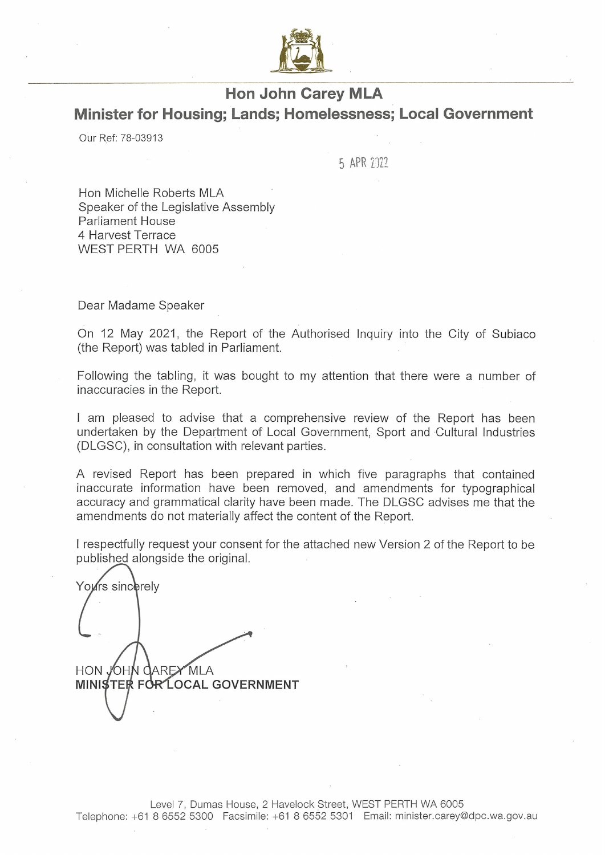

# **Hon John Carey MLA** Minister for Housing; Lands; Homelessness; Local Government

Our Ref: 78-03913

5 APR 2022

Hon Michelle Roberts MLA Speaker of the Legislative Assembly Parliament House 4 Harvest Terrace WEST PERTH WA 6005

Dear Madame Speaker

On 12 May 2021, the Report of the Authorised Inquiry into the City of Subiaco (the Report) was tabled in Parliament.

Following the tabling, it was bought to my attention that there were a number of inaccuracies in the Report.

I am pleased to advise that a comprehensive review of the Report has been undertaken by the Department of Local Government, Sport and Cultural Industries (DLGSC), in consultation with relevant parties.

A revised Report has been prepared in which five paragraphs that contained inaccurate information have been removed, and amendments for typographical accuracy and grammatical clarity have been made. The DLGSC advises me that the amendments do not materially affect the content of the Report.

I respectfully request your consent for the attached new Version 2 of the Report to be published alongside the original.

Yours sincerely HON JOHN CAREY MLA **MINISTER FOR LOCAL GOVERNMENT**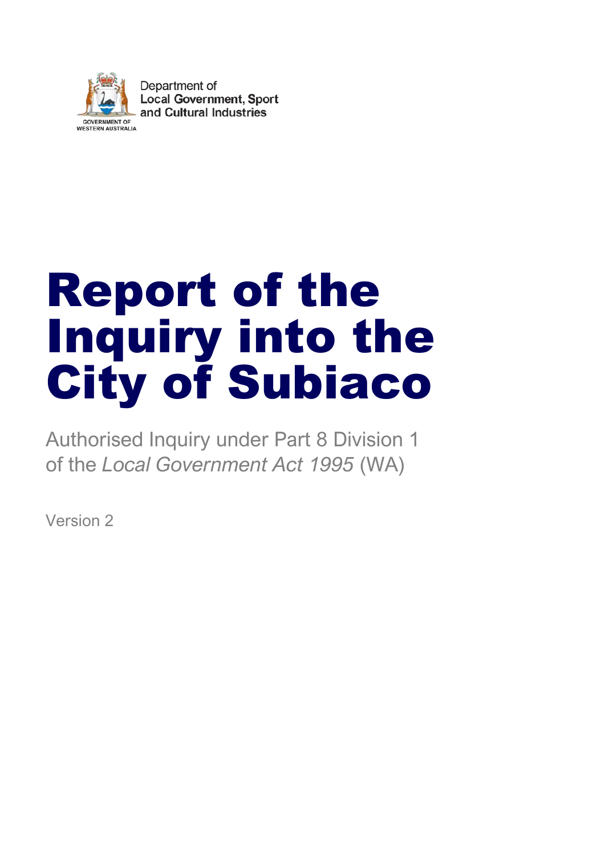

Department of **Local Government, Sport** and Cultural Industries

# Report of the Inquiry into the City of Subiaco

Authorised Inquiry under Part 8 Division 1 of the *Local Government Act 1995* (WA)

Version 2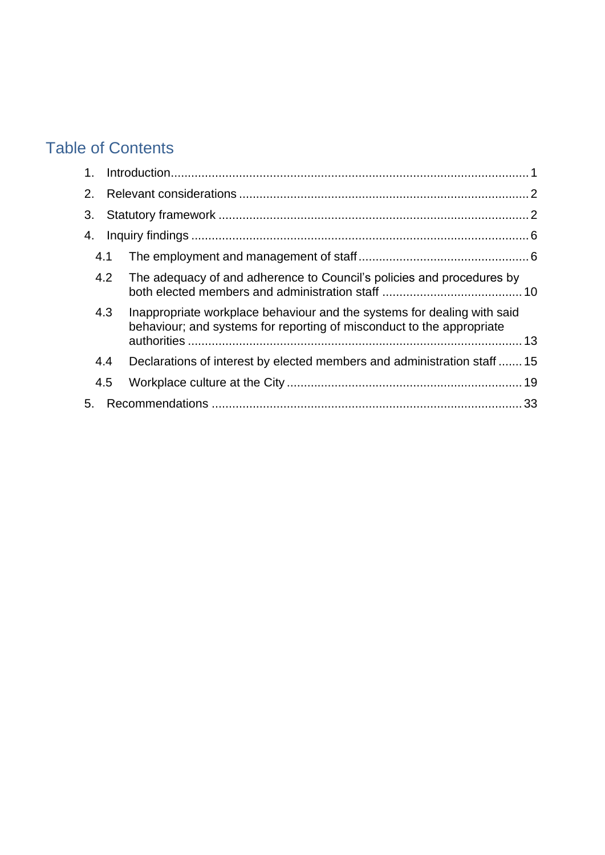# Table of Contents

| 2. |     |                                                                                                                                                  |  |
|----|-----|--------------------------------------------------------------------------------------------------------------------------------------------------|--|
| 3. |     |                                                                                                                                                  |  |
| 4. |     |                                                                                                                                                  |  |
|    | 4.1 |                                                                                                                                                  |  |
|    | 4.2 | The adequacy of and adherence to Council's policies and procedures by                                                                            |  |
|    | 4.3 | Inappropriate workplace behaviour and the systems for dealing with said<br>behaviour; and systems for reporting of misconduct to the appropriate |  |
|    | 4.4 | Declarations of interest by elected members and administration staff  15                                                                         |  |
|    | 4.5 |                                                                                                                                                  |  |
| 5. |     |                                                                                                                                                  |  |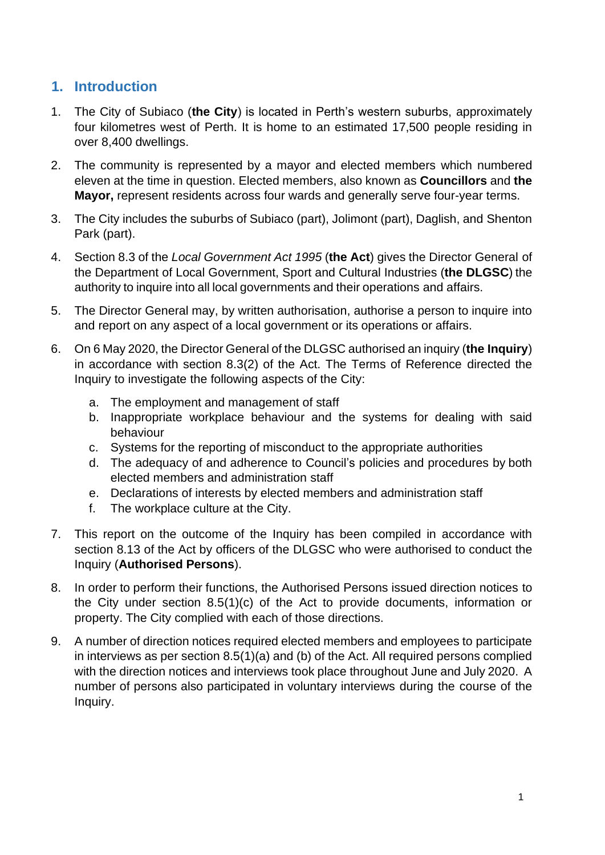# <span id="page-3-0"></span>**1. Introduction**

- 1. The City of Subiaco (**the City**) is located in Perth's western suburbs, approximately four kilometres west of Perth. It is home to an estimated 17,500 people residing in over 8,400 dwellings.
- 2. The community is represented by a mayor and elected members which numbered eleven at the time in question. Elected members, also known as **Councillors** and **the Mayor,** represent residents across four wards and generally serve four-year terms.
- 3. The City includes the suburbs of Subiaco (part), Jolimont (part), Daglish, and Shenton Park (part).
- 4. Section 8.3 of the *Local Government Act 1995* (**the Act**) gives the Director General of the Department of Local Government, Sport and Cultural Industries (**the DLGSC**) the authority to inquire into all local governments and their operations and affairs.
- 5. The Director General may, by written authorisation, authorise a person to inquire into and report on any aspect of a local government or its operations or affairs.
- 6. On 6 May 2020, the Director General of the DLGSC authorised an inquiry (**the Inquiry**) in accordance with section 8.3(2) of the Act. The Terms of Reference directed the Inquiry to investigate the following aspects of the City:
	- a. The employment and management of staff
	- b. Inappropriate workplace behaviour and the systems for dealing with said behaviour
	- c. Systems for the reporting of misconduct to the appropriate authorities
	- d. The adequacy of and adherence to Council's policies and procedures by both elected members and administration staff
	- e. Declarations of interests by elected members and administration staff
	- f. The workplace culture at the City.
- 7. This report on the outcome of the Inquiry has been compiled in accordance with section 8.13 of the Act by officers of the DLGSC who were authorised to conduct the Inquiry (**Authorised Persons**).
- 8. In order to perform their functions, the Authorised Persons issued direction notices to the City under section 8.5(1)(c) of the Act to provide documents, information or property. The City complied with each of those directions.
- 9. A number of direction notices required elected members and employees to participate in interviews as per section 8.5(1)(a) and (b) of the Act. All required persons complied with the direction notices and interviews took place throughout June and July 2020. A number of persons also participated in voluntary interviews during the course of the Inquiry.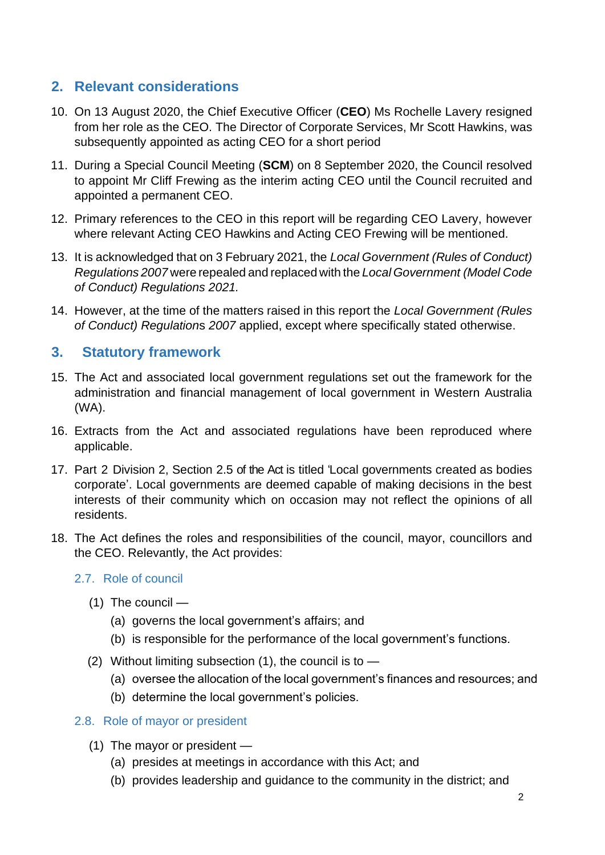# <span id="page-4-0"></span>**2. Relevant considerations**

- 10. On 13 August 2020, the Chief Executive Officer (**CEO**) Ms Rochelle Lavery resigned from her role as the CEO. The Director of Corporate Services, Mr Scott Hawkins, was subsequently appointed as acting CEO for a short period
- 11. During a Special Council Meeting (**SCM**) on 8 September 2020, the Council resolved to appoint Mr Cliff Frewing as the interim acting CEO until the Council recruited and appointed a permanent CEO.
- 12. Primary references to the CEO in this report will be regarding CEO Lavery, however where relevant Acting CEO Hawkins and Acting CEO Frewing will be mentioned.
- 13. It is acknowledged that on 3 February 2021, the *Local Government (Rules of Conduct) Regulations 2007* were repealed and replaced with the *Local Government (Model Code of Conduct) Regulations 2021.*
- 14. However, at the time of the matters raised in this report the *Local Government (Rules of Conduct) Regulation*s *2007* applied, except where specifically stated otherwise.

# <span id="page-4-1"></span>**3. Statutory framework**

- 15. The Act and associated local government regulations set out the framework for the administration and financial management of local government in Western Australia (WA).
- 16. Extracts from the Act and associated regulations have been reproduced where applicable.
- 17. Part 2 Division 2, Section 2.5 of the Act is titled 'Local governments created as bodies corporate'. Local governments are deemed capable of making decisions in the best interests of their community which on occasion may not reflect the opinions of all residents.
- 18. The Act defines the roles and responsibilities of the council, mayor, councillors and the CEO. Relevantly, the Act provides:

#### 2.7. Role of council

- (1) The council
	- (a) governs the local government's affairs; and
	- (b) is responsible for the performance of the local government's functions.
- (2) Without limiting subsection  $(1)$ , the council is to  $-$ 
	- (a) oversee the allocation of the local government's finances and resources; and
	- (b) determine the local government's policies.

#### 2.8. Role of mayor or president

- (1) The mayor or president
	- (a) presides at meetings in accordance with this Act; and
	- (b) provides leadership and guidance to the community in the district; and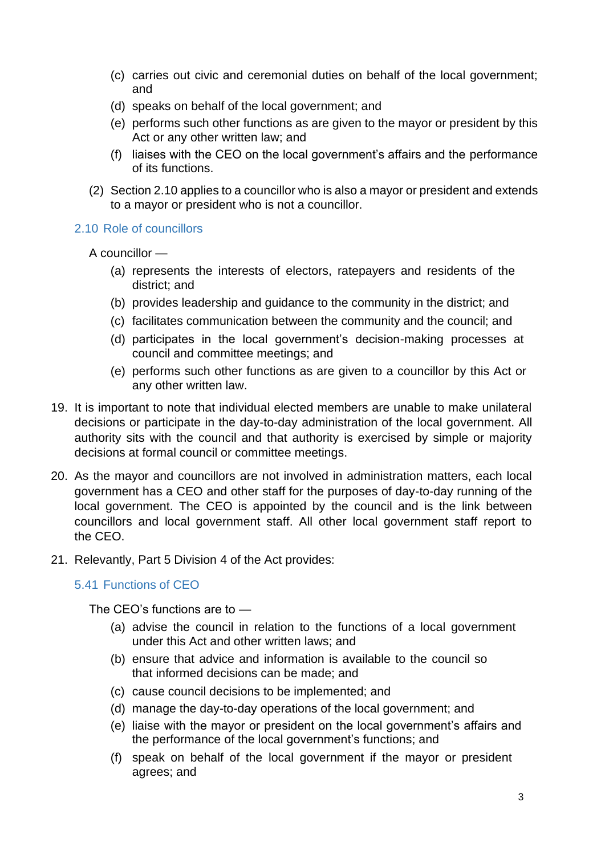- (c) carries out civic and ceremonial duties on behalf of the local government; and
- (d) speaks on behalf of the local government; and
- (e) performs such other functions as are given to the mayor or president by this Act or any other written law; and
- (f) liaises with the CEO on the local government's affairs and the performance of its functions.
- (2) Section 2.10 applies to a councillor who is also a mayor or president and extends to a mayor or president who is not a councillor.

2.10 Role of councillors

A councillor —

- (a) represents the interests of electors, ratepayers and residents of the district; and
- (b) provides leadership and guidance to the community in the district; and
- (c) facilitates communication between the community and the council; and
- (d) participates in the local government's decision-making processes at council and committee meetings; and
- (e) performs such other functions as are given to a councillor by this Act or any other written law.
- 19. It is important to note that individual elected members are unable to make unilateral decisions or participate in the day-to-day administration of the local government. All authority sits with the council and that authority is exercised by simple or majority decisions at formal council or committee meetings.
- 20. As the mayor and councillors are not involved in administration matters, each local government has a CEO and other staff for the purposes of day-to-day running of the local government. The CEO is appointed by the council and is the link between councillors and local government staff. All other local government staff report to the CEO.
- 21. Relevantly, Part 5 Division 4 of the Act provides:

5.41 Functions of CEO

The CEO's functions are to —

- (a) advise the council in relation to the functions of a local government under this Act and other written laws; and
- (b) ensure that advice and information is available to the council so that informed decisions can be made; and
- (c) cause council decisions to be implemented; and
- (d) manage the day-to-day operations of the local government; and
- (e) liaise with the mayor or president on the local government's affairs and the performance of the local government's functions; and
- (f) speak on behalf of the local government if the mayor or president agrees; and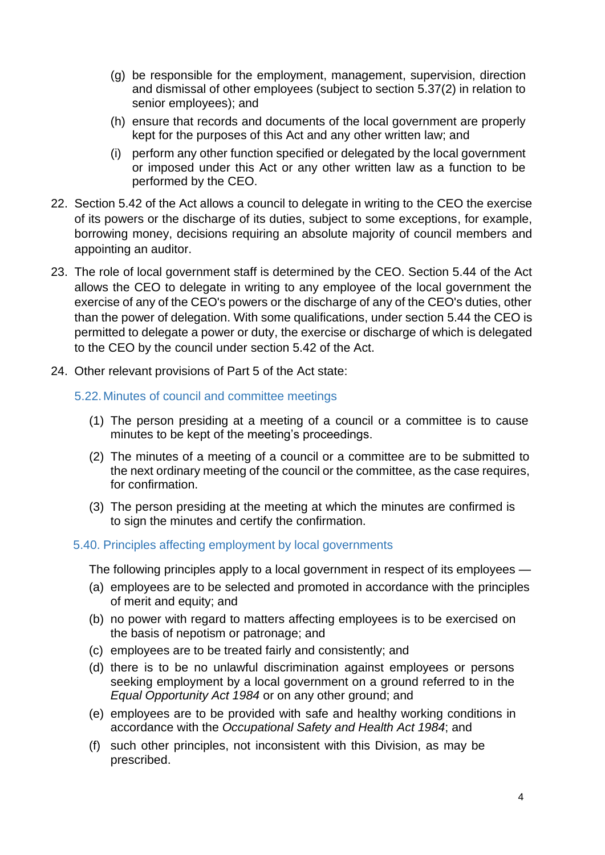- (g) be responsible for the employment, management, supervision, direction and dismissal of other employees (subject to section 5.37(2) in relation to senior employees); and
- (h) ensure that records and documents of the local government are properly kept for the purposes of this Act and any other written law; and
- (i) perform any other function specified or delegated by the local government or imposed under this Act or any other written law as a function to be performed by the CEO.
- 22. Section 5.42 of the Act allows a council to delegate in writing to the CEO the exercise of its powers or the discharge of its duties, subject to some exceptions, for example, borrowing money, decisions requiring an absolute majority of council members and appointing an auditor.
- 23. The role of local government staff is determined by the CEO. Section 5.44 of the Act allows the CEO to delegate in writing to any employee of the local government the exercise of any of the CEO's powers or the discharge of any of the CEO's duties, other than the power of delegation. With some qualifications, under section 5.44 the CEO is permitted to delegate a power or duty, the exercise or discharge of which is delegated to the CEO by the council under section 5.42 of the Act.
- 24. Other relevant provisions of Part 5 of the Act state:
	- 5.22.Minutes of council and committee meetings
		- (1) The person presiding at a meeting of a council or a committee is to cause minutes to be kept of the meeting's proceedings.
		- (2) The minutes of a meeting of a council or a committee are to be submitted to the next ordinary meeting of the council or the committee, as the case requires, for confirmation.
		- (3) The person presiding at the meeting at which the minutes are confirmed is to sign the minutes and certify the confirmation.

#### 5.40. Principles affecting employment by local governments

The following principles apply to a local government in respect of its employees —

- (a) employees are to be selected and promoted in accordance with the principles of merit and equity; and
- (b) no power with regard to matters affecting employees is to be exercised on the basis of nepotism or patronage; and
- (c) employees are to be treated fairly and consistently; and
- (d) there is to be no unlawful discrimination against employees or persons seeking employment by a local government on a ground referred to in the *Equal Opportunity Act 1984* or on any other ground; and
- (e) employees are to be provided with safe and healthy working conditions in accordance with the *Occupational Safety and Health Act 1984*; and
- (f) such other principles, not inconsistent with this Division, as may be prescribed.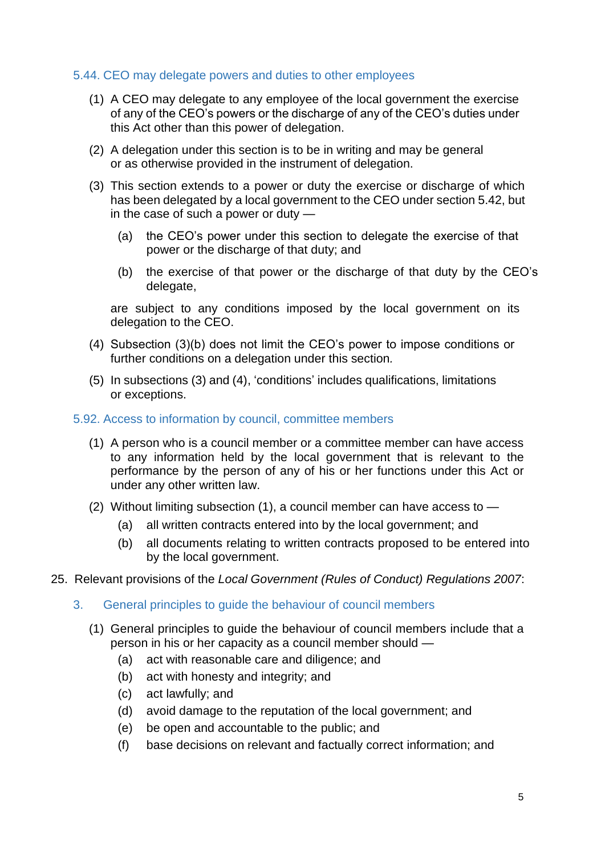#### 5.44. CEO may delegate powers and duties to other employees

- (1) A CEO may delegate to any employee of the local government the exercise of any of the CEO's powers or the discharge of any of the CEO's duties under this Act other than this power of delegation.
- (2) A delegation under this section is to be in writing and may be general or as otherwise provided in the instrument of delegation.
- (3) This section extends to a power or duty the exercise or discharge of which has been delegated by a local government to the CEO under section 5.42, but in the case of such a power or duty —
	- (a) the CEO's power under this section to delegate the exercise of that power or the discharge of that duty; and
	- (b) the exercise of that power or the discharge of that duty by the CEO's delegate,

are subject to any conditions imposed by the local government on its delegation to the CEO.

- (4) Subsection (3)(b) does not limit the CEO's power to impose conditions or further conditions on a delegation under this section*.*
- (5) In subsections (3) and (4), 'conditions' includes qualifications, limitations or exceptions.

#### 5.92. Access to information by council, committee members

- (1) A person who is a council member or a committee member can have access to any information held by the local government that is relevant to the performance by the person of any of his or her functions under this Act or under any other written law.
- (2) Without limiting subsection (1), a council member can have access to
	- (a) all written contracts entered into by the local government; and
	- (b) all documents relating to written contracts proposed to be entered into by the local government.
- 25. Relevant provisions of the *Local Government (Rules of Conduct) Regulations 2007*:
	- 3. General principles to guide the behaviour of council members
		- (1) General principles to guide the behaviour of council members include that a person in his or her capacity as a council member should —
			- (a) act with reasonable care and diligence; and
			- (b) act with honesty and integrity; and
			- (c) act lawfully; and
			- (d) avoid damage to the reputation of the local government; and
			- (e) be open and accountable to the public; and
			- (f) base decisions on relevant and factually correct information; and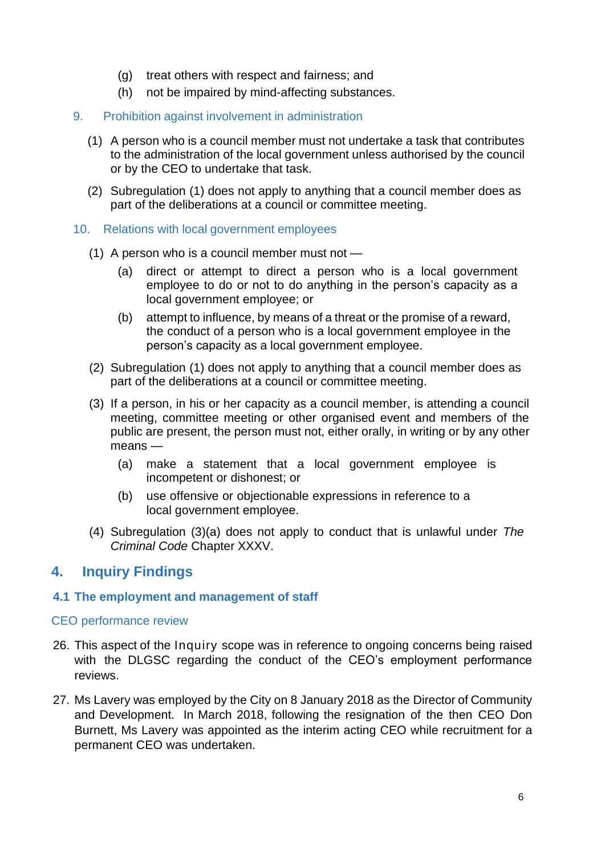- (g) treat others with respect and fairness; and
- (h) not be impaired by mind-affecting substances.
- 9. Prohibition against involvement in administration
	- (1) A person who is a council member must not undertake a task that contributes to the administration of the local government unless authorised by the council or by the CEO to undertake that task.
	- (2) Subregulation (1) does not apply to anything that a council member does as part of the deliberations at a council or committee meeting.
- 10. Relations with local government employees
	- (1) A person who is a council member must not
		- (a) direct or attempt to direct a person who is a local government employee to do or not to do anything in the person's capacity as a local government employee; or
		- (b) attempt to influence, by means of a threat or the promise of a reward, the conduct of a person who is a local government employee in the person's capacity as a local government employee.
	- (2) Subregulation (1) does not apply to anything that a council member does as part of the deliberations at a council or committee meeting.
	- (3) If a person, in his or her capacity as a council member, is attending a council meeting, committee meeting or other organised event and members of the public are present, the person must not, either orally, in writing or by any other means —
		- (a) make a statement that a local government employee is incompetent or dishonest; or
		- (b) use offensive or objectionable expressions in reference to a local government employee.
	- (4) Subregulation (3)(a) does not apply to conduct that is unlawful under *The Criminal Code* Chapter XXXV.

## <span id="page-8-0"></span>**4. Inquiry Findings**

#### <span id="page-8-1"></span>**4.1 The employment and management of staff**

#### CEO performance review

- 26. This aspect of the Inquiry scope was in reference to ongoing concerns being raised with the DLGSC regarding the conduct of the CEO's employment performance reviews.
- 27. Ms Lavery was employed by the City on 8 January 2018 as the Director of Community and Development. In March 2018, following the resignation of the then CEO Don Burnett, Ms Lavery was appointed as the interim acting CEO while recruitment for a permanent CEO was undertaken.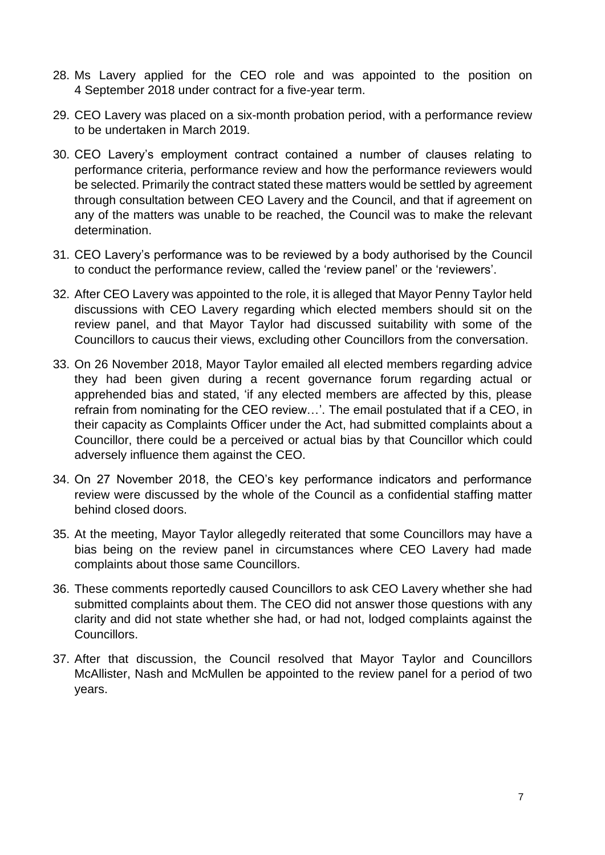- 28. Ms Lavery applied for the CEO role and was appointed to the position on 4 September 2018 under contract for a five-year term.
- 29. CEO Lavery was placed on a six-month probation period, with a performance review to be undertaken in March 2019.
- 30. CEO Lavery's employment contract contained a number of clauses relating to performance criteria, performance review and how the performance reviewers would be selected. Primarily the contract stated these matters would be settled by agreement through consultation between CEO Lavery and the Council, and that if agreement on any of the matters was unable to be reached, the Council was to make the relevant determination.
- 31. CEO Lavery's performance was to be reviewed by a body authorised by the Council to conduct the performance review, called the 'review panel' or the 'reviewers'.
- 32. After CEO Lavery was appointed to the role, it is alleged that Mayor Penny Taylor held discussions with CEO Lavery regarding which elected members should sit on the review panel, and that Mayor Taylor had discussed suitability with some of the Councillors to caucus their views, excluding other Councillors from the conversation.
- 33. On 26 November 2018, Mayor Taylor emailed all elected members regarding advice they had been given during a recent governance forum regarding actual or apprehended bias and stated, 'if any elected members are affected by this, please refrain from nominating for the CEO review…'. The email postulated that if a CEO, in their capacity as Complaints Officer under the Act, had submitted complaints about a Councillor, there could be a perceived or actual bias by that Councillor which could adversely influence them against the CEO.
- 34. On 27 November 2018, the CEO's key performance indicators and performance review were discussed by the whole of the Council as a confidential staffing matter behind closed doors.
- 35. At the meeting, Mayor Taylor allegedly reiterated that some Councillors may have a bias being on the review panel in circumstances where CEO Lavery had made complaints about those same Councillors.
- 36. These comments reportedly caused Councillors to ask CEO Lavery whether she had submitted complaints about them. The CEO did not answer those questions with any clarity and did not state whether she had, or had not, lodged complaints against the Councillors.
- 37. After that discussion, the Council resolved that Mayor Taylor and Councillors McAllister, Nash and McMullen be appointed to the review panel for a period of two years.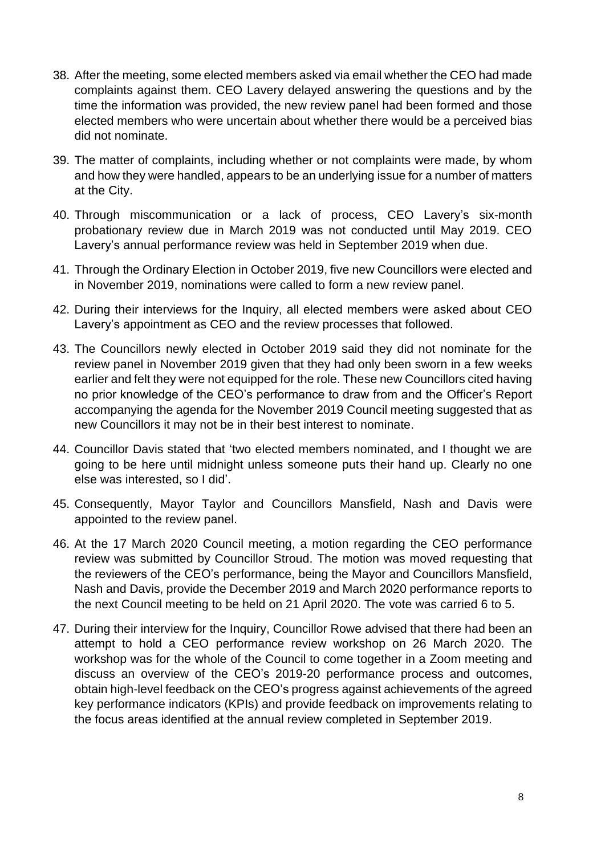- 38. After the meeting, some elected members asked via email whether the CEO had made complaints against them. CEO Lavery delayed answering the questions and by the time the information was provided, the new review panel had been formed and those elected members who were uncertain about whether there would be a perceived bias did not nominate.
- 39. The matter of complaints, including whether or not complaints were made, by whom and how they were handled, appears to be an underlying issue for a number of matters at the City.
- 40. Through miscommunication or a lack of process, CEO Lavery's six-month probationary review due in March 2019 was not conducted until May 2019. CEO Lavery's annual performance review was held in September 2019 when due.
- 41. Through the Ordinary Election in October 2019, five new Councillors were elected and in November 2019, nominations were called to form a new review panel.
- 42. During their interviews for the Inquiry, all elected members were asked about CEO Lavery's appointment as CEO and the review processes that followed.
- 43. The Councillors newly elected in October 2019 said they did not nominate for the review panel in November 2019 given that they had only been sworn in a few weeks earlier and felt they were not equipped for the role. These new Councillors cited having no prior knowledge of the CEO's performance to draw from and the Officer's Report accompanying the agenda for the November 2019 Council meeting suggested that as new Councillors it may not be in their best interest to nominate.
- 44. Councillor Davis stated that 'two elected members nominated, and I thought we are going to be here until midnight unless someone puts their hand up. Clearly no one else was interested, so I did'.
- 45. Consequently, Mayor Taylor and Councillors Mansfield, Nash and Davis were appointed to the review panel.
- 46. At the 17 March 2020 Council meeting, a motion regarding the CEO performance review was submitted by Councillor Stroud. The motion was moved requesting that the reviewers of the CEO's performance, being the Mayor and Councillors Mansfield, Nash and Davis, provide the December 2019 and March 2020 performance reports to the next Council meeting to be held on 21 April 2020. The vote was carried 6 to 5.
- 47. During their interview for the Inquiry, Councillor Rowe advised that there had been an attempt to hold a CEO performance review workshop on 26 March 2020. The workshop was for the whole of the Council to come together in a Zoom meeting and discuss an overview of the CEO's 2019-20 performance process and outcomes, obtain high-level feedback on the CEO's progress against achievements of the agreed key performance indicators (KPIs) and provide feedback on improvements relating to the focus areas identified at the annual review completed in September 2019.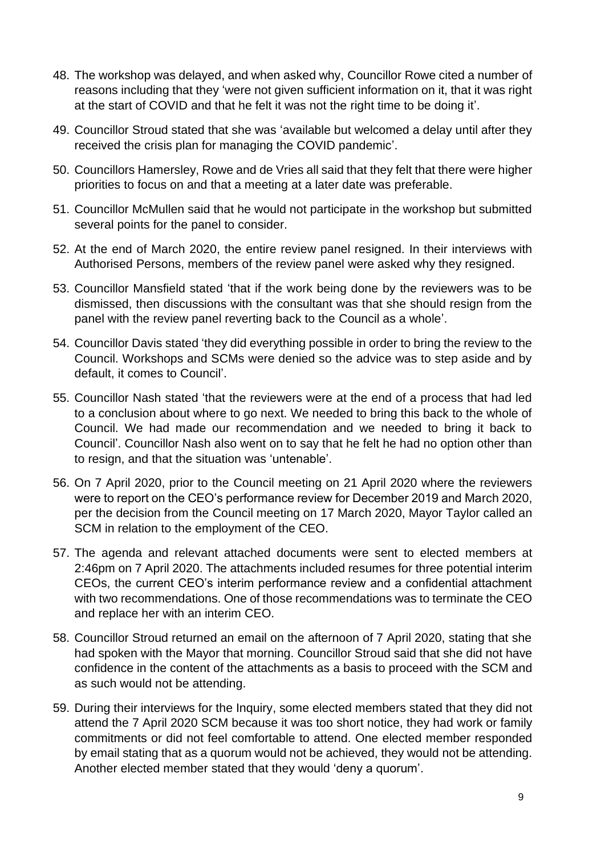- 48. The workshop was delayed, and when asked why, Councillor Rowe cited a number of reasons including that they 'were not given sufficient information on it, that it was right at the start of COVID and that he felt it was not the right time to be doing it'.
- 49. Councillor Stroud stated that she was 'available but welcomed a delay until after they received the crisis plan for managing the COVID pandemic'.
- 50. Councillors Hamersley, Rowe and de Vries all said that they felt that there were higher priorities to focus on and that a meeting at a later date was preferable.
- 51. Councillor McMullen said that he would not participate in the workshop but submitted several points for the panel to consider.
- 52. At the end of March 2020, the entire review panel resigned. In their interviews with Authorised Persons, members of the review panel were asked why they resigned.
- 53. Councillor Mansfield stated 'that if the work being done by the reviewers was to be dismissed, then discussions with the consultant was that she should resign from the panel with the review panel reverting back to the Council as a whole'.
- 54. Councillor Davis stated 'they did everything possible in order to bring the review to the Council. Workshops and SCMs were denied so the advice was to step aside and by default, it comes to Council'.
- 55. Councillor Nash stated 'that the reviewers were at the end of a process that had led to a conclusion about where to go next. We needed to bring this back to the whole of Council. We had made our recommendation and we needed to bring it back to Council'. Councillor Nash also went on to say that he felt he had no option other than to resign, and that the situation was 'untenable'.
- 56. On 7 April 2020, prior to the Council meeting on 21 April 2020 where the reviewers were to report on the CEO's performance review for December 2019 and March 2020, per the decision from the Council meeting on 17 March 2020, Mayor Taylor called an SCM in relation to the employment of the CEO.
- 57. The agenda and relevant attached documents were sent to elected members at 2:46pm on 7 April 2020. The attachments included resumes for three potential interim CEOs, the current CEO's interim performance review and a confidential attachment with two recommendations. One of those recommendations was to terminate the CEO and replace her with an interim CEO.
- 58. Councillor Stroud returned an email on the afternoon of 7 April 2020, stating that she had spoken with the Mayor that morning. Councillor Stroud said that she did not have confidence in the content of the attachments as a basis to proceed with the SCM and as such would not be attending.
- 59. During their interviews for the Inquiry, some elected members stated that they did not attend the 7 April 2020 SCM because it was too short notice, they had work or family commitments or did not feel comfortable to attend. One elected member responded by email stating that as a quorum would not be achieved, they would not be attending. Another elected member stated that they would 'deny a quorum'.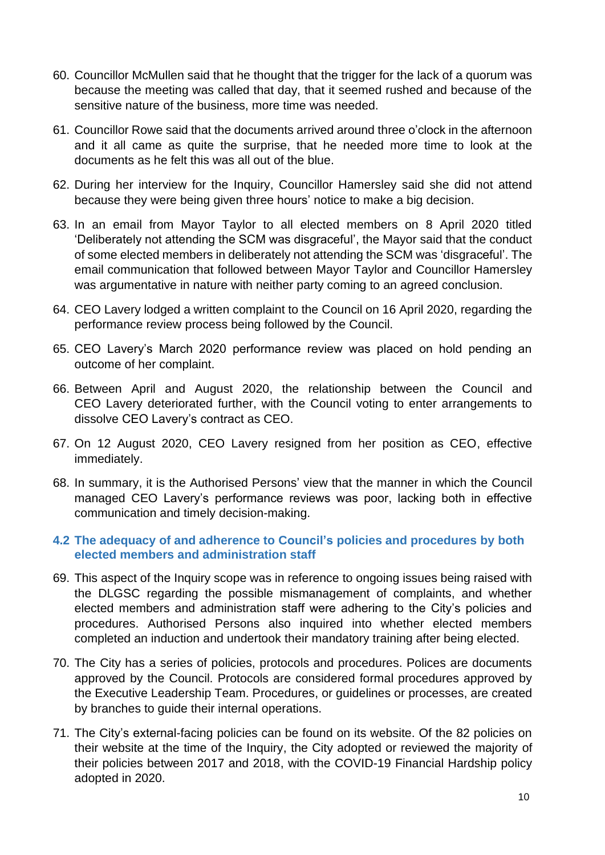- 60. Councillor McMullen said that he thought that the trigger for the lack of a quorum was because the meeting was called that day, that it seemed rushed and because of the sensitive nature of the business, more time was needed.
- 61. Councillor Rowe said that the documents arrived around three o'clock in the afternoon and it all came as quite the surprise, that he needed more time to look at the documents as he felt this was all out of the blue.
- 62. During her interview for the Inquiry, Councillor Hamersley said she did not attend because they were being given three hours' notice to make a big decision.
- 63. In an email from Mayor Taylor to all elected members on 8 April 2020 titled 'Deliberately not attending the SCM was disgraceful', the Mayor said that the conduct of some elected members in deliberately not attending the SCM was 'disgraceful'. The email communication that followed between Mayor Taylor and Councillor Hamersley was argumentative in nature with neither party coming to an agreed conclusion.
- 64. CEO Lavery lodged a written complaint to the Council on 16 April 2020, regarding the performance review process being followed by the Council.
- 65. CEO Lavery's March 2020 performance review was placed on hold pending an outcome of her complaint.
- 66. Between April and August 2020, the relationship between the Council and CEO Lavery deteriorated further, with the Council voting to enter arrangements to dissolve CEO Lavery's contract as CEO.
- 67. On 12 August 2020, CEO Lavery resigned from her position as CEO, effective immediately.
- 68. In summary, it is the Authorised Persons' view that the manner in which the Council managed CEO Lavery's performance reviews was poor, lacking both in effective communication and timely decision-making.

#### <span id="page-12-0"></span>**4.2 The adequacy of and adherence to Council's policies and procedures by both elected members and administration staff**

- 69. This aspect of the Inquiry scope was in reference to ongoing issues being raised with the DLGSC regarding the possible mismanagement of complaints, and whether elected members and administration staff were adhering to the City's policies and procedures. Authorised Persons also inquired into whether elected members completed an induction and undertook their mandatory training after being elected.
- 70. The City has a series of policies, protocols and procedures. Polices are documents approved by the Council. Protocols are considered formal procedures approved by the Executive Leadership Team. Procedures, or guidelines or processes, are created by branches to guide their internal operations.
- 71. The City's external-facing policies can be found on its website. Of the 82 policies on their website at the time of the Inquiry, the City adopted or reviewed the majority of their policies between 2017 and 2018, with the COVID-19 Financial Hardship policy adopted in 2020.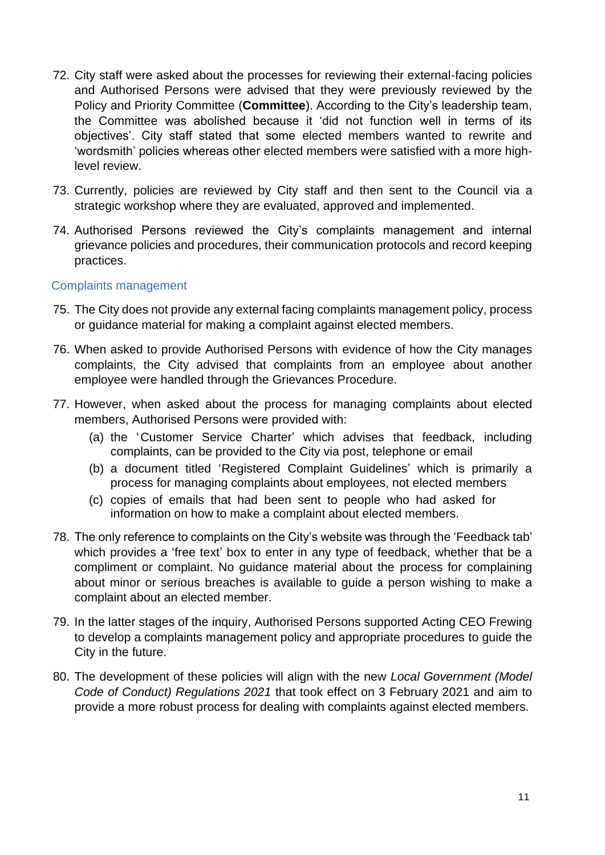- 72. City staff were asked about the processes for reviewing their external-facing policies and Authorised Persons were advised that they were previously reviewed by the Policy and Priority Committee (**Committee**). According to the City's leadership team, the Committee was abolished because it 'did not function well in terms of its objectives'. City staff stated that some elected members wanted to rewrite and 'wordsmith' policies whereas other elected members were satisfied with a more highlevel review.
- 73. Currently, policies are reviewed by City staff and then sent to the Council via a strategic workshop where they are evaluated, approved and implemented.
- 74. Authorised Persons reviewed the City's complaints management and internal grievance policies and procedures, their communication protocols and record keeping practices.

#### Complaints management

- 75. The City does not provide any external facing complaints management policy, process or guidance material for making a complaint against elected members.
- 76. When asked to provide Authorised Persons with evidence of how the City manages complaints, the City advised that complaints from an employee about another employee were handled through the Grievances Procedure.
- 77. However, when asked about the process for managing complaints about elected members, Authorised Persons were provided with:
	- (a) the 'Customer Service Charter' which advises that feedback, including complaints, can be provided to the City via post, telephone or email
	- (b) a document titled 'Registered Complaint Guidelines' which is primarily a process for managing complaints about employees, not elected members
	- (c) copies of emails that had been sent to people who had asked for information on how to make a complaint about elected members.
- 78. The only reference to complaints on the City's website was through the 'Feedback tab' which provides a 'free text' box to enter in any type of feedback, whether that be a compliment or complaint. No guidance material about the process for complaining about minor or serious breaches is available to guide a person wishing to make a complaint about an elected member.
- 79. In the latter stages of the inquiry, Authorised Persons supported Acting CEO Frewing to develop a complaints management policy and appropriate procedures to guide the City in the future.
- 80. The development of these policies will align with the new *Local Government (Model Code of Conduct) Regulations 2021* that took effect on 3 February 2021 and aim to provide a more robust process for dealing with complaints against elected members.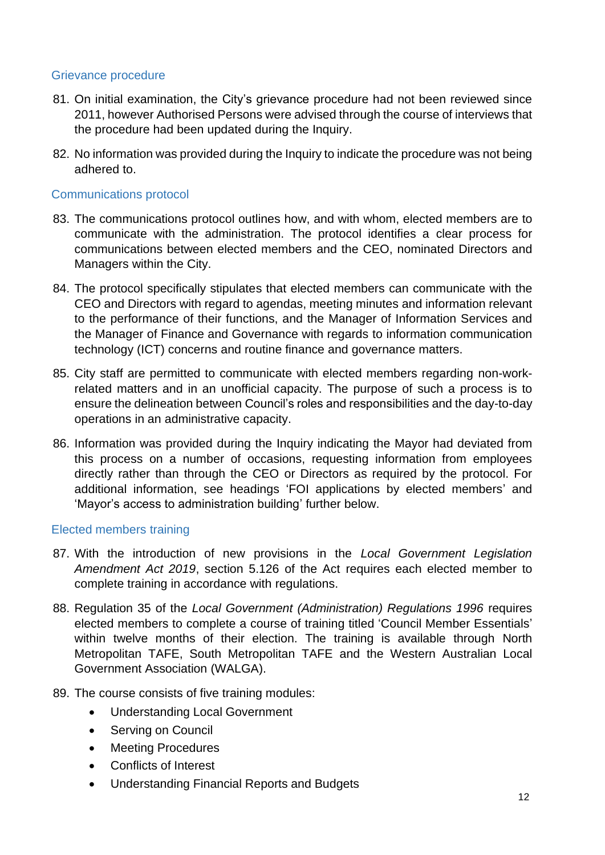#### Grievance procedure

- 81. On initial examination, the City's grievance procedure had not been reviewed since 2011, however Authorised Persons were advised through the course of interviews that the procedure had been updated during the Inquiry.
- 82. No information was provided during the Inquiry to indicate the procedure was not being adhered to.

#### Communications protocol

- 83. The communications protocol outlines how, and with whom, elected members are to communicate with the administration. The protocol identifies a clear process for communications between elected members and the CEO, nominated Directors and Managers within the City.
- 84. The protocol specifically stipulates that elected members can communicate with the CEO and Directors with regard to agendas, meeting minutes and information relevant to the performance of their functions, and the Manager of Information Services and the Manager of Finance and Governance with regards to information communication technology (ICT) concerns and routine finance and governance matters.
- 85. City staff are permitted to communicate with elected members regarding non-workrelated matters and in an unofficial capacity. The purpose of such a process is to ensure the delineation between Council's roles and responsibilities and the day-to-day operations in an administrative capacity.
- 86. Information was provided during the Inquiry indicating the Mayor had deviated from this process on a number of occasions, requesting information from employees directly rather than through the CEO or Directors as required by the protocol. For additional information, see headings 'FOI applications by elected members' and 'Mayor's access to administration building' further below.

#### Elected members training

- 87. With the introduction of new provisions in the *Local Government Legislation Amendment Act 2019*, section 5.126 of the Act requires each elected member to complete training in accordance with regulations.
- 88. Regulation 35 of the *Local Government (Administration) Regulations 1996* requires elected members to complete a course of training titled 'Council Member Essentials' within twelve months of their election. The training is available through North Metropolitan TAFE, South Metropolitan TAFE and the Western Australian Local Government Association (WALGA).
- 89. The course consists of five training modules:
	- Understanding Local Government
	- Serving on Council
	- Meeting Procedures
	- Conflicts of Interest
	- Understanding Financial Reports and Budgets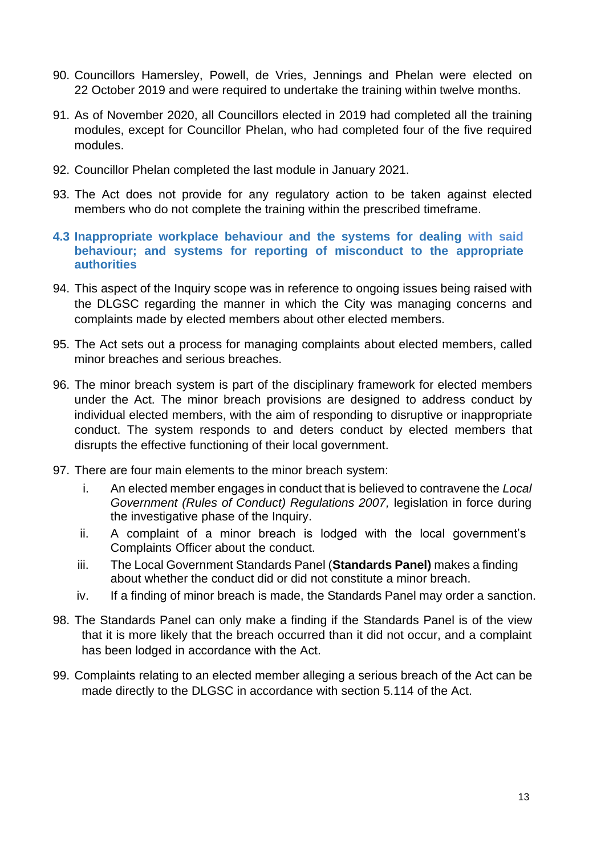- 90. Councillors Hamersley, Powell, de Vries, Jennings and Phelan were elected on 22 October 2019 and were required to undertake the training within twelve months.
- 91. As of November 2020, all Councillors elected in 2019 had completed all the training modules, except for Councillor Phelan, who had completed four of the five required modules.
- 92. Councillor Phelan completed the last module in January 2021.
- 93. The Act does not provide for any regulatory action to be taken against elected members who do not complete the training within the prescribed timeframe.
- <span id="page-15-0"></span>**4.3 Inappropriate workplace behaviour and the systems for dealing with said behaviour; and systems for reporting of misconduct to the appropriate authorities**
- 94. This aspect of the Inquiry scope was in reference to ongoing issues being raised with the DLGSC regarding the manner in which the City was managing concerns and complaints made by elected members about other elected members.
- 95. The Act sets out a process for managing complaints about elected members, called minor breaches and serious breaches.
- 96. The minor breach system is part of the disciplinary framework for elected members under the Act. The minor breach provisions are designed to address conduct by individual elected members, with the aim of responding to disruptive or inappropriate conduct. The system responds to and deters conduct by elected members that disrupts the effective functioning of their local government.
- 97. There are four main elements to the minor breach system:
	- i. An elected member engages in conduct that is believed to contravene the *Local Government (Rules of Conduct) Regulations 2007,* legislation in force during the investigative phase of the Inquiry.
	- ii. A complaint of a minor breach is lodged with the local government's Complaints Officer about the conduct.
	- iii. The Local Government Standards Panel (**Standards Panel)** makes a finding about whether the conduct did or did not constitute a minor breach.
	- iv. If a finding of minor breach is made, the Standards Panel may order a sanction.
- 98. The Standards Panel can only make a finding if the Standards Panel is of the view that it is more likely that the breach occurred than it did not occur, and a complaint has been lodged in accordance with the Act.
- 99. Complaints relating to an elected member alleging a serious breach of the Act can be made directly to the DLGSC in accordance with section 5.114 of the Act.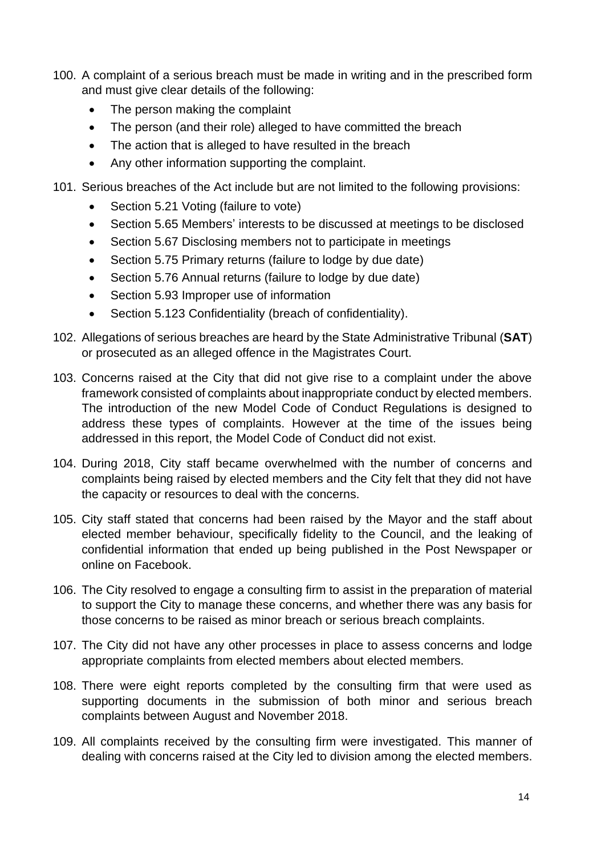- 100. A complaint of a serious breach must be made in writing and in the prescribed form and must give clear details of the following:
	- The person making the complaint
	- The person (and their role) alleged to have committed the breach
	- The action that is alleged to have resulted in the breach
	- Any other information supporting the complaint.
- 101. Serious breaches of the Act include but are not limited to the following provisions:
	- Section 5.21 Voting (failure to vote)
	- Section 5.65 Members' interests to be discussed at meetings to be disclosed
	- Section 5.67 Disclosing members not to participate in meetings
	- Section 5.75 Primary returns (failure to lodge by due date)
	- Section 5.76 Annual returns (failure to lodge by due date)
	- Section 5.93 Improper use of information
	- Section 5.123 Confidentiality (breach of confidentiality).
- 102. Allegations of serious breaches are heard by the State Administrative Tribunal (**SAT**) or prosecuted as an alleged offence in the Magistrates Court.
- 103. Concerns raised at the City that did not give rise to a complaint under the above framework consisted of complaints about inappropriate conduct by elected members. The introduction of the new Model Code of Conduct Regulations is designed to address these types of complaints. However at the time of the issues being addressed in this report, the Model Code of Conduct did not exist.
- 104. During 2018, City staff became overwhelmed with the number of concerns and complaints being raised by elected members and the City felt that they did not have the capacity or resources to deal with the concerns.
- 105. City staff stated that concerns had been raised by the Mayor and the staff about elected member behaviour, specifically fidelity to the Council, and the leaking of confidential information that ended up being published in the Post Newspaper or online on Facebook.
- 106. The City resolved to engage a consulting firm to assist in the preparation of material to support the City to manage these concerns, and whether there was any basis for those concerns to be raised as minor breach or serious breach complaints.
- 107. The City did not have any other processes in place to assess concerns and lodge appropriate complaints from elected members about elected members.
- 108. There were eight reports completed by the consulting firm that were used as supporting documents in the submission of both minor and serious breach complaints between August and November 2018.
- 109. All complaints received by the consulting firm were investigated. This manner of dealing with concerns raised at the City led to division among the elected members.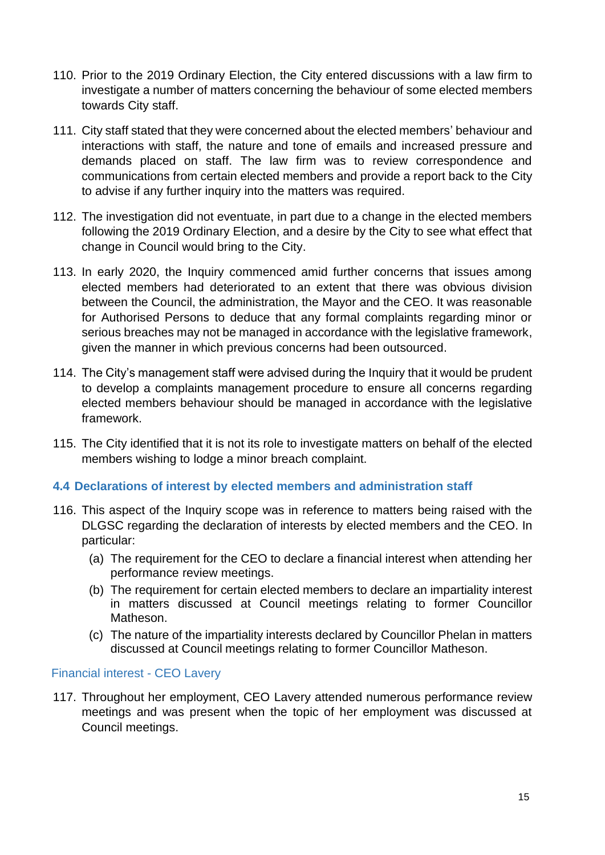- 110. Prior to the 2019 Ordinary Election, the City entered discussions with a law firm to investigate a number of matters concerning the behaviour of some elected members towards City staff.
- 111. City staff stated that they were concerned about the elected members' behaviour and interactions with staff, the nature and tone of emails and increased pressure and demands placed on staff. The law firm was to review correspondence and communications from certain elected members and provide a report back to the City to advise if any further inquiry into the matters was required.
- 112. The investigation did not eventuate, in part due to a change in the elected members following the 2019 Ordinary Election, and a desire by the City to see what effect that change in Council would bring to the City.
- 113. In early 2020, the Inquiry commenced amid further concerns that issues among elected members had deteriorated to an extent that there was obvious division between the Council, the administration, the Mayor and the CEO. It was reasonable for Authorised Persons to deduce that any formal complaints regarding minor or serious breaches may not be managed in accordance with the legislative framework, given the manner in which previous concerns had been outsourced.
- 114. The City's management staff were advised during the Inquiry that it would be prudent to develop a complaints management procedure to ensure all concerns regarding elected members behaviour should be managed in accordance with the legislative framework.
- 115. The City identified that it is not its role to investigate matters on behalf of the elected members wishing to lodge a minor breach complaint.

#### <span id="page-17-0"></span>**4.4 Declarations of interest by elected members and administration staff**

- 116. This aspect of the Inquiry scope was in reference to matters being raised with the DLGSC regarding the declaration of interests by elected members and the CEO. In particular:
	- (a) The requirement for the CEO to declare a financial interest when attending her performance review meetings.
	- (b) The requirement for certain elected members to declare an impartiality interest in matters discussed at Council meetings relating to former Councillor Matheson.
	- (c) The nature of the impartiality interests declared by Councillor Phelan in matters discussed at Council meetings relating to former Councillor Matheson.

#### Financial interest - CEO Lavery

117. Throughout her employment, CEO Lavery attended numerous performance review meetings and was present when the topic of her employment was discussed at Council meetings.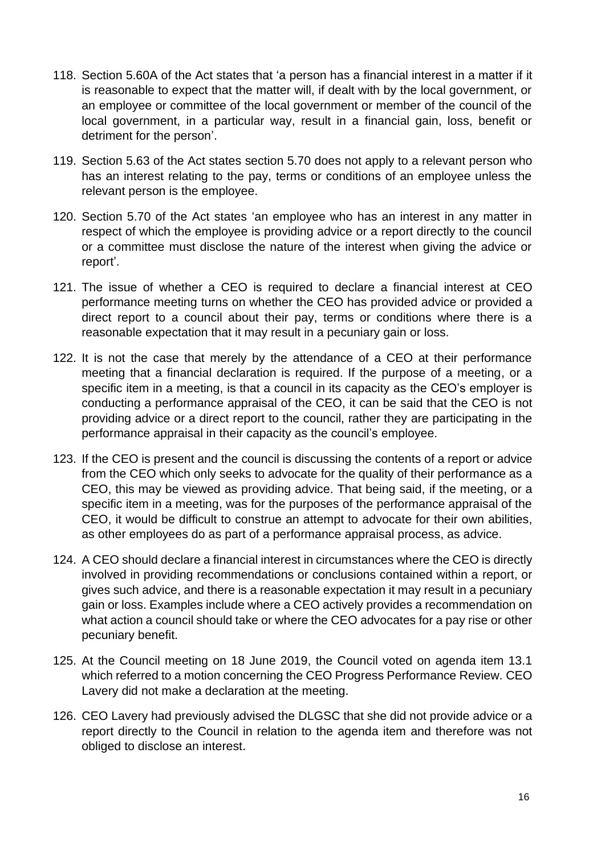- 118. Section 5.60A of the Act states that 'a person has a financial interest in a matter if it is reasonable to expect that the matter will, if dealt with by the local government, or an employee or committee of the local government or member of the council of the local government, in a particular way, result in a financial gain, loss, benefit or detriment for the person'.
- 119. Section 5.63 of the Act states section 5.70 does not apply to a relevant person who has an interest relating to the pay, terms or conditions of an employee unless the relevant person is the employee.
- 120. Section 5.70 of the Act states 'an employee who has an interest in any matter in respect of which the employee is providing advice or a report directly to the council or a committee must disclose the nature of the interest when giving the advice or report'.
- 121. The issue of whether a CEO is required to declare a financial interest at CEO performance meeting turns on whether the CEO has provided advice or provided a direct report to a council about their pay, terms or conditions where there is a reasonable expectation that it may result in a pecuniary gain or loss.
- 122. It is not the case that merely by the attendance of a CEO at their performance meeting that a financial declaration is required. If the purpose of a meeting, or a specific item in a meeting, is that a council in its capacity as the CEO's employer is conducting a performance appraisal of the CEO, it can be said that the CEO is not providing advice or a direct report to the council, rather they are participating in the performance appraisal in their capacity as the council's employee.
- 123. If the CEO is present and the council is discussing the contents of a report or advice from the CEO which only seeks to advocate for the quality of their performance as a CEO, this may be viewed as providing advice. That being said, if the meeting, or a specific item in a meeting, was for the purposes of the performance appraisal of the CEO, it would be difficult to construe an attempt to advocate for their own abilities, as other employees do as part of a performance appraisal process, as advice.
- 124. A CEO should declare a financial interest in circumstances where the CEO is directly involved in providing recommendations or conclusions contained within a report, or gives such advice, and there is a reasonable expectation it may result in a pecuniary gain or loss. Examples include where a CEO actively provides a recommendation on what action a council should take or where the CEO advocates for a pay rise or other pecuniary benefit.
- 125. At the Council meeting on 18 June 2019, the Council voted on agenda item 13.1 which referred to a motion concerning the CEO Progress Performance Review. CEO Lavery did not make a declaration at the meeting.
- 126. CEO Lavery had previously advised the DLGSC that she did not provide advice or a report directly to the Council in relation to the agenda item and therefore was not obliged to disclose an interest.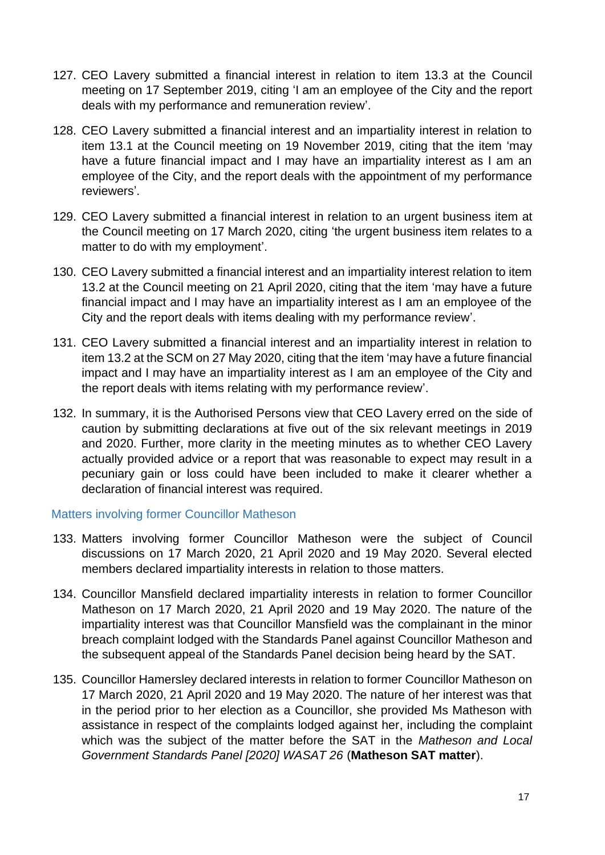- 127. CEO Lavery submitted a financial interest in relation to item 13.3 at the Council meeting on 17 September 2019, citing 'I am an employee of the City and the report deals with my performance and remuneration review'.
- 128. CEO Lavery submitted a financial interest and an impartiality interest in relation to item 13.1 at the Council meeting on 19 November 2019, citing that the item 'may have a future financial impact and I may have an impartiality interest as I am an employee of the City, and the report deals with the appointment of my performance reviewers'.
- 129. CEO Lavery submitted a financial interest in relation to an urgent business item at the Council meeting on 17 March 2020, citing 'the urgent business item relates to a matter to do with my employment'.
- 130. CEO Lavery submitted a financial interest and an impartiality interest relation to item 13.2 at the Council meeting on 21 April 2020, citing that the item 'may have a future financial impact and I may have an impartiality interest as I am an employee of the City and the report deals with items dealing with my performance review'.
- 131. CEO Lavery submitted a financial interest and an impartiality interest in relation to item 13.2 at the SCM on 27 May 2020, citing that the item 'may have a future financial impact and I may have an impartiality interest as I am an employee of the City and the report deals with items relating with my performance review'.
- 132. In summary, it is the Authorised Persons view that CEO Lavery erred on the side of caution by submitting declarations at five out of the six relevant meetings in 2019 and 2020. Further, more clarity in the meeting minutes as to whether CEO Lavery actually provided advice or a report that was reasonable to expect may result in a pecuniary gain or loss could have been included to make it clearer whether a declaration of financial interest was required.

#### Matters involving former Councillor Matheson

- 133. Matters involving former Councillor Matheson were the subject of Council discussions on 17 March 2020, 21 April 2020 and 19 May 2020. Several elected members declared impartiality interests in relation to those matters.
- 134. Councillor Mansfield declared impartiality interests in relation to former Councillor Matheson on 17 March 2020, 21 April 2020 and 19 May 2020. The nature of the impartiality interest was that Councillor Mansfield was the complainant in the minor breach complaint lodged with the Standards Panel against Councillor Matheson and the subsequent appeal of the Standards Panel decision being heard by the SAT.
- 135. Councillor Hamersley declared interests in relation to former Councillor Matheson on 17 March 2020, 21 April 2020 and 19 May 2020. The nature of her interest was that in the period prior to her election as a Councillor, she provided Ms Matheson with assistance in respect of the complaints lodged against her, including the complaint which was the subject of the matter before the SAT in the *Matheson and Local Government Standards Panel [2020] WASAT 26* (**Matheson SAT matter**).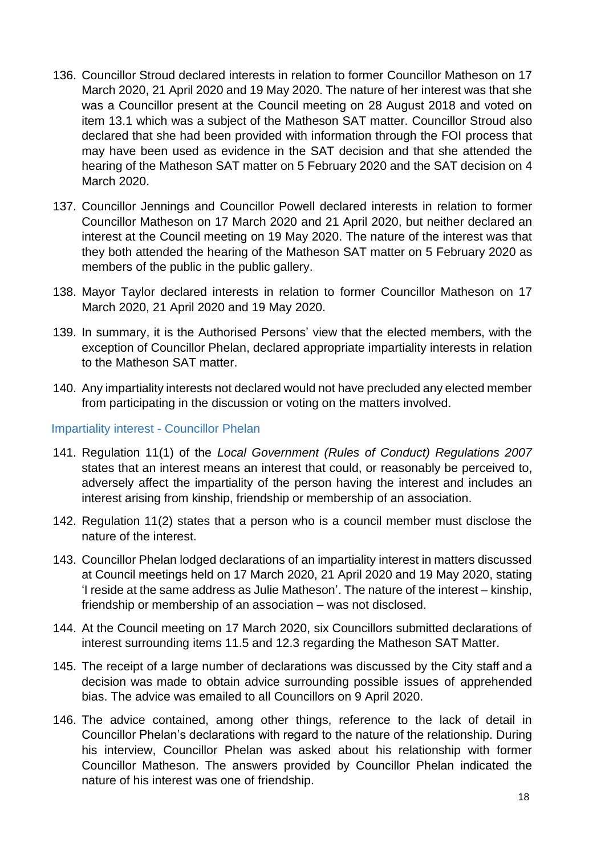- 136. Councillor Stroud declared interests in relation to former Councillor Matheson on 17 March 2020, 21 April 2020 and 19 May 2020. The nature of her interest was that she was a Councillor present at the Council meeting on 28 August 2018 and voted on item 13.1 which was a subject of the Matheson SAT matter. Councillor Stroud also declared that she had been provided with information through the FOI process that may have been used as evidence in the SAT decision and that she attended the hearing of the Matheson SAT matter on 5 February 2020 and the SAT decision on 4 March 2020.
- 137. Councillor Jennings and Councillor Powell declared interests in relation to former Councillor Matheson on 17 March 2020 and 21 April 2020, but neither declared an interest at the Council meeting on 19 May 2020. The nature of the interest was that they both attended the hearing of the Matheson SAT matter on 5 February 2020 as members of the public in the public gallery.
- 138. Mayor Taylor declared interests in relation to former Councillor Matheson on 17 March 2020, 21 April 2020 and 19 May 2020.
- 139. In summary, it is the Authorised Persons' view that the elected members, with the exception of Councillor Phelan, declared appropriate impartiality interests in relation to the Matheson SAT matter.
- 140. Any impartiality interests not declared would not have precluded any elected member from participating in the discussion or voting on the matters involved.

Impartiality interest - Councillor Phelan

- 141. Regulation 11(1) of the *Local Government (Rules of Conduct) Regulations 2007* states that an interest means an interest that could, or reasonably be perceived to, adversely affect the impartiality of the person having the interest and includes an interest arising from kinship, friendship or membership of an association.
- 142. Regulation 11(2) states that a person who is a council member must disclose the nature of the interest.
- 143. Councillor Phelan lodged declarations of an impartiality interest in matters discussed at Council meetings held on 17 March 2020, 21 April 2020 and 19 May 2020, stating 'I reside at the same address as Julie Matheson'. The nature of the interest – kinship, friendship or membership of an association – was not disclosed.
- 144. At the Council meeting on 17 March 2020, six Councillors submitted declarations of interest surrounding items 11.5 and 12.3 regarding the Matheson SAT Matter.
- 145. The receipt of a large number of declarations was discussed by the City staff and a decision was made to obtain advice surrounding possible issues of apprehended bias. The advice was emailed to all Councillors on 9 April 2020.
- 146. The advice contained, among other things, reference to the lack of detail in Councillor Phelan's declarations with regard to the nature of the relationship. During his interview, Councillor Phelan was asked about his relationship with former Councillor Matheson. The answers provided by Councillor Phelan indicated the nature of his interest was one of friendship.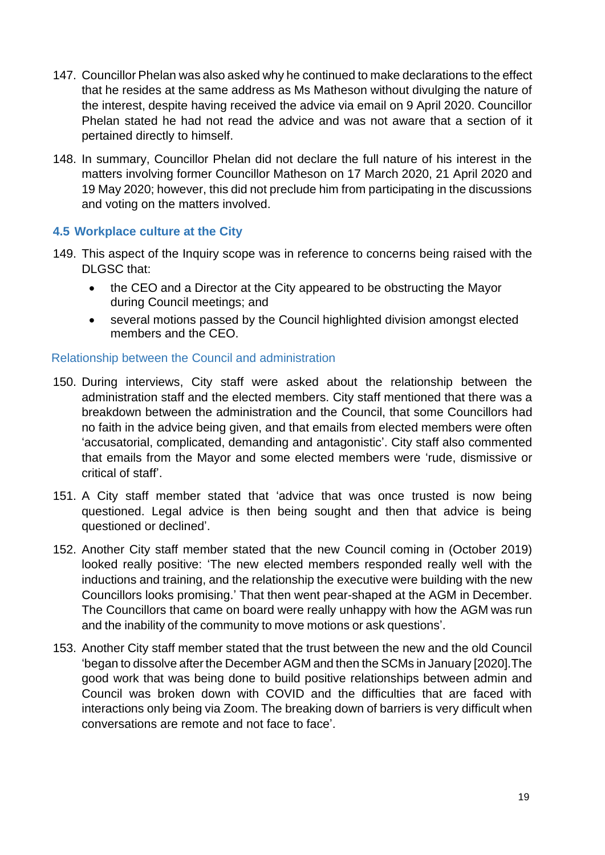- 147. Councillor Phelan was also asked why he continued to make declarations to the effect that he resides at the same address as Ms Matheson without divulging the nature of the interest, despite having received the advice via email on 9 April 2020. Councillor Phelan stated he had not read the advice and was not aware that a section of it pertained directly to himself.
- 148. In summary, Councillor Phelan did not declare the full nature of his interest in the matters involving former Councillor Matheson on 17 March 2020, 21 April 2020 and 19 May 2020; however, this did not preclude him from participating in the discussions and voting on the matters involved.

#### <span id="page-21-0"></span>**4.5 Workplace culture at the City**

- 149. This aspect of the Inquiry scope was in reference to concerns being raised with the DLGSC that:
	- the CEO and a Director at the City appeared to be obstructing the Mayor during Council meetings; and
	- several motions passed by the Council highlighted division amongst elected members and the CEO.

#### Relationship between the Council and administration

- 150. During interviews, City staff were asked about the relationship between the administration staff and the elected members. City staff mentioned that there was a breakdown between the administration and the Council, that some Councillors had no faith in the advice being given, and that emails from elected members were often 'accusatorial, complicated, demanding and antagonistic'. City staff also commented that emails from the Mayor and some elected members were 'rude, dismissive or critical of staff'.
- 151. A City staff member stated that 'advice that was once trusted is now being questioned. Legal advice is then being sought and then that advice is being questioned or declined'.
- 152. Another City staff member stated that the new Council coming in (October 2019) looked really positive: 'The new elected members responded really well with the inductions and training, and the relationship the executive were building with the new Councillors looks promising.' That then went pear-shaped at the AGM in December. The Councillors that came on board were really unhappy with how the AGM was run and the inability of the community to move motions or ask questions'.
- 153. Another City staff member stated that the trust between the new and the old Council 'began to dissolve afterthe December AGM and then the SCMs in January [2020].The good work that was being done to build positive relationships between admin and Council was broken down with COVID and the difficulties that are faced with interactions only being via Zoom. The breaking down of barriers is very difficult when conversations are remote and not face to face'.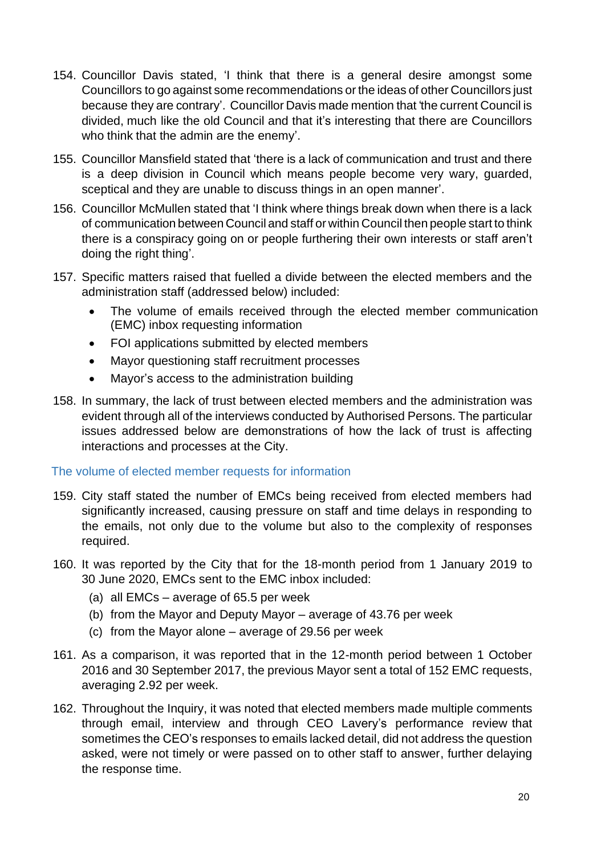- 154. Councillor Davis stated, 'I think that there is a general desire amongst some Councillors to go against some recommendations or the ideas of other Councillors just because they are contrary'. Councillor Davis made mention that 'the current Council is divided, much like the old Council and that it's interesting that there are Councillors who think that the admin are the enemy'.
- 155. Councillor Mansfield stated that 'there is a lack of communication and trust and there is a deep division in Council which means people become very wary, guarded, sceptical and they are unable to discuss things in an open manner'.
- 156. Councillor McMullen stated that 'I think where things break down when there is a lack of communication between Council and staff or within Council then people start to think there is a conspiracy going on or people furthering their own interests or staff aren't doing the right thing'.
- 157. Specific matters raised that fuelled a divide between the elected members and the administration staff (addressed below) included:
	- The volume of emails received through the elected member communication (EMC) inbox requesting information
	- FOI applications submitted by elected members
	- Mayor questioning staff recruitment processes
	- Mayor's access to the administration building
- 158. In summary, the lack of trust between elected members and the administration was evident through all of the interviews conducted by Authorised Persons. The particular issues addressed below are demonstrations of how the lack of trust is affecting interactions and processes at the City.

#### The volume of elected member requests for information

- 159. City staff stated the number of EMCs being received from elected members had significantly increased, causing pressure on staff and time delays in responding to the emails, not only due to the volume but also to the complexity of responses required.
- 160. It was reported by the City that for the 18-month period from 1 January 2019 to 30 June 2020, EMCs sent to the EMC inbox included:
	- (a) all EMCs average of 65.5 per week
	- (b) from the Mayor and Deputy Mayor average of 43.76 per week
	- (c) from the Mayor alone average of 29.56 per week
- 161. As a comparison, it was reported that in the 12-month period between 1 October 2016 and 30 September 2017, the previous Mayor sent a total of 152 EMC requests, averaging 2.92 per week.
- 162. Throughout the Inquiry, it was noted that elected members made multiple comments through email, interview and through CEO Lavery's performance review that sometimes the CEO's responses to emails lacked detail, did not address the question asked, were not timely or were passed on to other staff to answer, further delaying the response time.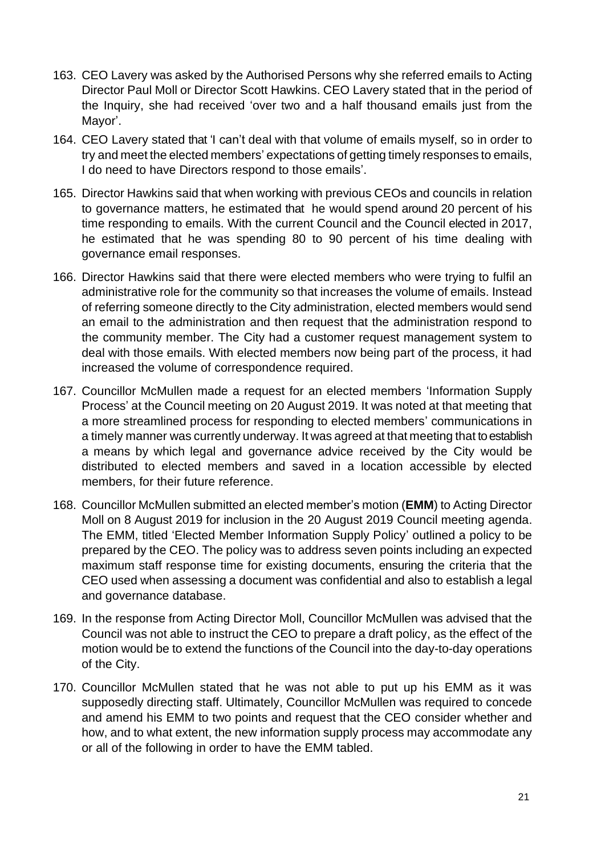- 163. CEO Lavery was asked by the Authorised Persons why she referred emails to Acting Director Paul Moll or Director Scott Hawkins. CEO Lavery stated that in the period of the Inquiry, she had received 'over two and a half thousand emails just from the Mayor'.
- 164. CEO Lavery stated that 'I can't deal with that volume of emails myself, so in order to try and meet the elected members' expectations of getting timely responses to emails, I do need to have Directors respond to those emails'.
- 165. Director Hawkins said that when working with previous CEOs and councils in relation to governance matters, he estimated that he would spend around 20 percent of his time responding to emails. With the current Council and the Council elected in 2017, he estimated that he was spending 80 to 90 percent of his time dealing with governance email responses.
- 166. Director Hawkins said that there were elected members who were trying to fulfil an administrative role for the community so that increases the volume of emails. Instead of referring someone directly to the City administration, elected members would send an email to the administration and then request that the administration respond to the community member. The City had a customer request management system to deal with those emails. With elected members now being part of the process, it had increased the volume of correspondence required.
- 167. Councillor McMullen made a request for an elected members 'Information Supply Process' at the Council meeting on 20 August 2019. It was noted at that meeting that a more streamlined process for responding to elected members' communications in a timely manner was currently underway. It was agreed at that meeting that to establish a means by which legal and governance advice received by the City would be distributed to elected members and saved in a location accessible by elected members, for their future reference.
- 168. Councillor McMullen submitted an elected member's motion (**EMM**) to Acting Director Moll on 8 August 2019 for inclusion in the 20 August 2019 Council meeting agenda. The EMM, titled 'Elected Member Information Supply Policy' outlined a policy to be prepared by the CEO. The policy was to address seven points including an expected maximum staff response time for existing documents, ensuring the criteria that the CEO used when assessing a document was confidential and also to establish a legal and governance database.
- 169. In the response from Acting Director Moll, Councillor McMullen was advised that the Council was not able to instruct the CEO to prepare a draft policy, as the effect of the motion would be to extend the functions of the Council into the day-to-day operations of the City.
- 170. Councillor McMullen stated that he was not able to put up his EMM as it was supposedly directing staff. Ultimately, Councillor McMullen was required to concede and amend his EMM to two points and request that the CEO consider whether and how, and to what extent, the new information supply process may accommodate any or all of the following in order to have the EMM tabled.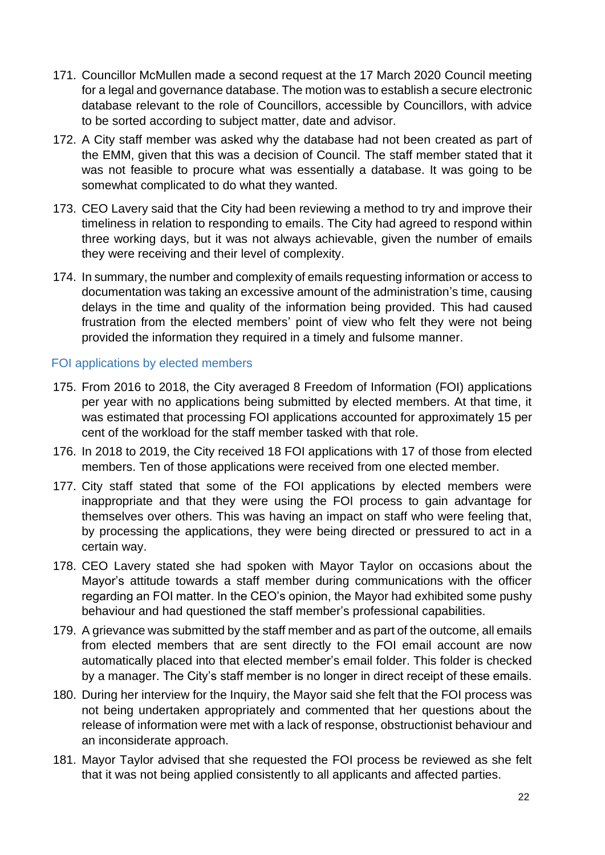- 171. Councillor McMullen made a second request at the 17 March 2020 Council meeting for a legal and governance database. The motion was to establish a secure electronic database relevant to the role of Councillors, accessible by Councillors, with advice to be sorted according to subject matter, date and advisor.
- 172. A City staff member was asked why the database had not been created as part of the EMM, given that this was a decision of Council. The staff member stated that it was not feasible to procure what was essentially a database. It was going to be somewhat complicated to do what they wanted.
- 173. CEO Lavery said that the City had been reviewing a method to try and improve their timeliness in relation to responding to emails. The City had agreed to respond within three working days, but it was not always achievable, given the number of emails they were receiving and their level of complexity.
- 174. In summary, the number and complexity of emails requesting information or access to documentation was taking an excessive amount of the administration's time, causing delays in the time and quality of the information being provided. This had caused frustration from the elected members' point of view who felt they were not being provided the information they required in a timely and fulsome manner.

#### FOI applications by elected members

- 175. From 2016 to 2018, the City averaged 8 Freedom of Information (FOI) applications per year with no applications being submitted by elected members. At that time, it was estimated that processing FOI applications accounted for approximately 15 per cent of the workload for the staff member tasked with that role.
- 176. In 2018 to 2019, the City received 18 FOI applications with 17 of those from elected members. Ten of those applications were received from one elected member.
- 177. City staff stated that some of the FOI applications by elected members were inappropriate and that they were using the FOI process to gain advantage for themselves over others. This was having an impact on staff who were feeling that, by processing the applications, they were being directed or pressured to act in a certain way.
- 178. CEO Lavery stated she had spoken with Mayor Taylor on occasions about the Mayor's attitude towards a staff member during communications with the officer regarding an FOI matter. In the CEO's opinion, the Mayor had exhibited some pushy behaviour and had questioned the staff member's professional capabilities.
- 179. A grievance was submitted by the staff member and as part of the outcome, all emails from elected members that are sent directly to the FOI email account are now automatically placed into that elected member's email folder. This folder is checked by a manager. The City's staff member is no longer in direct receipt of these emails.
- 180. During her interview for the Inquiry, the Mayor said she felt that the FOI process was not being undertaken appropriately and commented that her questions about the release of information were met with a lack of response, obstructionist behaviour and an inconsiderate approach.
- 181. Mayor Taylor advised that she requested the FOI process be reviewed as she felt that it was not being applied consistently to all applicants and affected parties.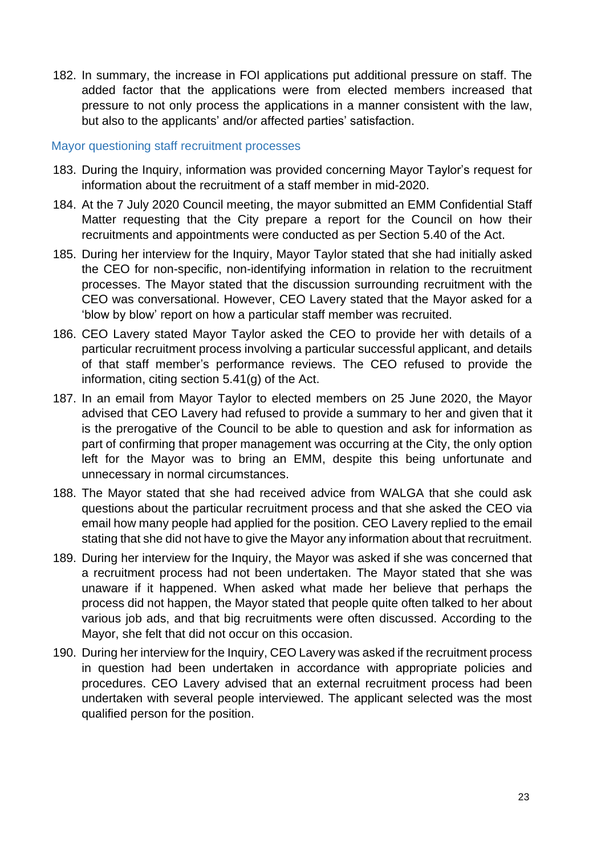182. In summary, the increase in FOI applications put additional pressure on staff. The added factor that the applications were from elected members increased that pressure to not only process the applications in a manner consistent with the law, but also to the applicants' and/or affected parties' satisfaction.

#### Mayor questioning staff recruitment processes

- 183. During the Inquiry, information was provided concerning Mayor Taylor's request for information about the recruitment of a staff member in mid-2020.
- 184. At the 7 July 2020 Council meeting, the mayor submitted an EMM Confidential Staff Matter requesting that the City prepare a report for the Council on how their recruitments and appointments were conducted as per Section 5.40 of the Act.
- 185. During her interview for the Inquiry, Mayor Taylor stated that she had initially asked the CEO for non-specific, non-identifying information in relation to the recruitment processes. The Mayor stated that the discussion surrounding recruitment with the CEO was conversational. However, CEO Lavery stated that the Mayor asked for a 'blow by blow' report on how a particular staff member was recruited.
- 186. CEO Lavery stated Mayor Taylor asked the CEO to provide her with details of a particular recruitment process involving a particular successful applicant, and details of that staff member's performance reviews. The CEO refused to provide the information, citing section 5.41(g) of the Act.
- 187. In an email from Mayor Taylor to elected members on 25 June 2020, the Mayor advised that CEO Lavery had refused to provide a summary to her and given that it is the prerogative of the Council to be able to question and ask for information as part of confirming that proper management was occurring at the City, the only option left for the Mayor was to bring an EMM, despite this being unfortunate and unnecessary in normal circumstances.
- 188. The Mayor stated that she had received advice from WALGA that she could ask questions about the particular recruitment process and that she asked the CEO via email how many people had applied for the position. CEO Lavery replied to the email stating that she did not have to give the Mayor any information about that recruitment.
- 189. During her interview for the Inquiry, the Mayor was asked if she was concerned that a recruitment process had not been undertaken. The Mayor stated that she was unaware if it happened. When asked what made her believe that perhaps the process did not happen, the Mayor stated that people quite often talked to her about various job ads, and that big recruitments were often discussed. According to the Mayor, she felt that did not occur on this occasion.
- 190. During her interview for the Inquiry, CEO Lavery was asked if the recruitment process in question had been undertaken in accordance with appropriate policies and procedures. CEO Lavery advised that an external recruitment process had been undertaken with several people interviewed. The applicant selected was the most qualified person for the position.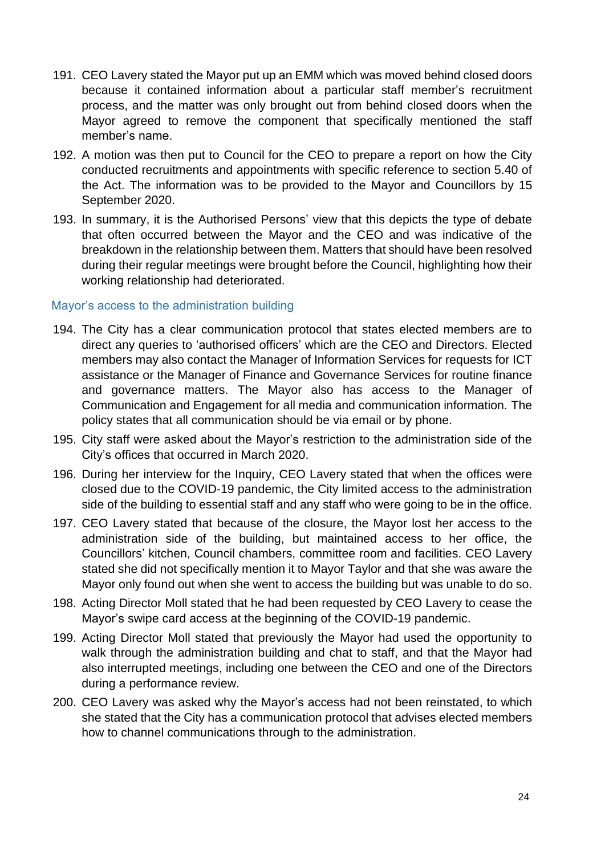- 191. CEO Lavery stated the Mayor put up an EMM which was moved behind closed doors because it contained information about a particular staff member's recruitment process, and the matter was only brought out from behind closed doors when the Mayor agreed to remove the component that specifically mentioned the staff member's name.
- 192. A motion was then put to Council for the CEO to prepare a report on how the City conducted recruitments and appointments with specific reference to section 5.40 of the Act. The information was to be provided to the Mayor and Councillors by 15 September 2020.
- 193. In summary, it is the Authorised Persons' view that this depicts the type of debate that often occurred between the Mayor and the CEO and was indicative of the breakdown in the relationship between them. Matters that should have been resolved during their regular meetings were brought before the Council, highlighting how their working relationship had deteriorated.

#### Mayor's access to the administration building

- 194. The City has a clear communication protocol that states elected members are to direct any queries to 'authorised officers' which are the CEO and Directors. Elected members may also contact the Manager of Information Services for requests for ICT assistance or the Manager of Finance and Governance Services for routine finance and governance matters. The Mayor also has access to the Manager of Communication and Engagement for all media and communication information. The policy states that all communication should be via email or by phone.
- 195. City staff were asked about the Mayor's restriction to the administration side of the City's offices that occurred in March 2020.
- 196. During her interview for the Inquiry, CEO Lavery stated that when the offices were closed due to the COVID-19 pandemic, the City limited access to the administration side of the building to essential staff and any staff who were going to be in the office.
- 197. CEO Lavery stated that because of the closure, the Mayor lost her access to the administration side of the building, but maintained access to her office, the Councillors' kitchen, Council chambers, committee room and facilities. CEO Lavery stated she did not specifically mention it to Mayor Taylor and that she was aware the Mayor only found out when she went to access the building but was unable to do so.
- 198. Acting Director Moll stated that he had been requested by CEO Lavery to cease the Mayor's swipe card access at the beginning of the COVID-19 pandemic.
- 199. Acting Director Moll stated that previously the Mayor had used the opportunity to walk through the administration building and chat to staff, and that the Mayor had also interrupted meetings, including one between the CEO and one of the Directors during a performance review.
- 200. CEO Lavery was asked why the Mayor's access had not been reinstated, to which she stated that the City has a communication protocol that advises elected members how to channel communications through to the administration.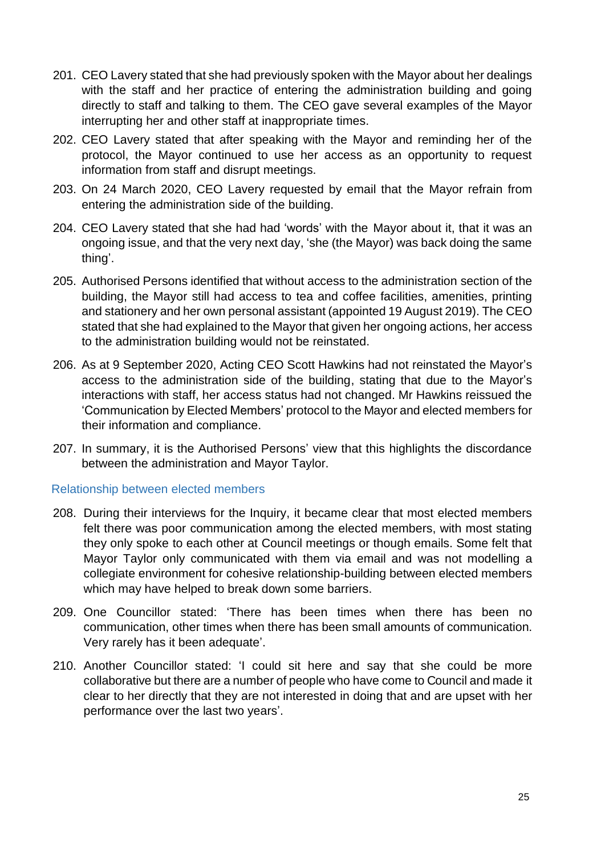- 201. CEO Lavery stated that she had previously spoken with the Mayor about her dealings with the staff and her practice of entering the administration building and going directly to staff and talking to them. The CEO gave several examples of the Mayor interrupting her and other staff at inappropriate times.
- 202. CEO Lavery stated that after speaking with the Mayor and reminding her of the protocol, the Mayor continued to use her access as an opportunity to request information from staff and disrupt meetings.
- 203. On 24 March 2020, CEO Lavery requested by email that the Mayor refrain from entering the administration side of the building.
- 204. CEO Lavery stated that she had had 'words' with the Mayor about it, that it was an ongoing issue, and that the very next day, 'she (the Mayor) was back doing the same thing'.
- 205. Authorised Persons identified that without access to the administration section of the building, the Mayor still had access to tea and coffee facilities, amenities, printing and stationery and her own personal assistant (appointed 19 August 2019). The CEO stated that she had explained to the Mayor that given her ongoing actions, her access to the administration building would not be reinstated.
- 206. As at 9 September 2020, Acting CEO Scott Hawkins had not reinstated the Mayor's access to the administration side of the building, stating that due to the Mayor's interactions with staff, her access status had not changed. Mr Hawkins reissued the 'Communication by Elected Members' protocol to the Mayor and elected members for their information and compliance.
- 207. In summary, it is the Authorised Persons' view that this highlights the discordance between the administration and Mayor Taylor.

#### Relationship between elected members

- 208. During their interviews for the Inquiry, it became clear that most elected members felt there was poor communication among the elected members, with most stating they only spoke to each other at Council meetings or though emails. Some felt that Mayor Taylor only communicated with them via email and was not modelling a collegiate environment for cohesive relationship-building between elected members which may have helped to break down some barriers.
- 209. One Councillor stated: 'There has been times when there has been no communication, other times when there has been small amounts of communication. Very rarely has it been adequate'.
- 210. Another Councillor stated: 'I could sit here and say that she could be more collaborative but there are a number of people who have come to Council and made it clear to her directly that they are not interested in doing that and are upset with her performance over the last two years'.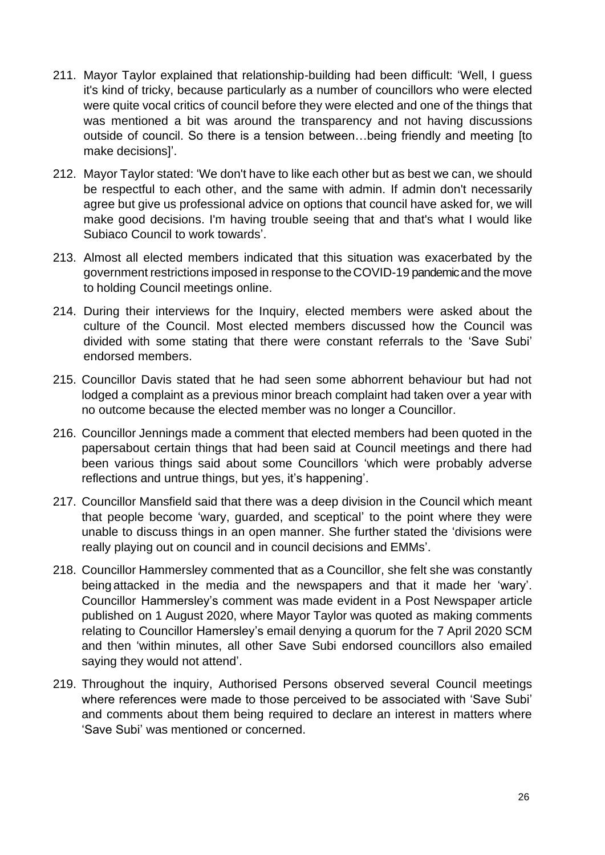- 211. Mayor Taylor explained that relationship-building had been difficult: 'Well, I guess it's kind of tricky, because particularly as a number of councillors who were elected were quite vocal critics of council before they were elected and one of the things that was mentioned a bit was around the transparency and not having discussions outside of council. So there is a tension between…being friendly and meeting [to make decisions]'.
- 212. Mayor Taylor stated: 'We don't have to like each other but as best we can, we should be respectful to each other, and the same with admin. If admin don't necessarily agree but give us professional advice on options that council have asked for, we will make good decisions. I'm having trouble seeing that and that's what I would like Subiaco Council to work towards'.
- 213. Almost all elected members indicated that this situation was exacerbated by the government restrictions imposed in response to the COVID-19 pandemic and the move to holding Council meetings online.
- 214. During their interviews for the Inquiry, elected members were asked about the culture of the Council. Most elected members discussed how the Council was divided with some stating that there were constant referrals to the 'Save Subi' endorsed members.
- 215. Councillor Davis stated that he had seen some abhorrent behaviour but had not lodged a complaint as a previous minor breach complaint had taken over a year with no outcome because the elected member was no longer a Councillor.
- 216. Councillor Jennings made a comment that elected members had been quoted in the papersabout certain things that had been said at Council meetings and there had been various things said about some Councillors 'which were probably adverse reflections and untrue things, but yes, it's happening'.
- 217. Councillor Mansfield said that there was a deep division in the Council which meant that people become 'wary, guarded, and sceptical' to the point where they were unable to discuss things in an open manner. She further stated the 'divisions were really playing out on council and in council decisions and EMMs'.
- 218. Councillor Hammersley commented that as a Councillor, she felt she was constantly being attacked in the media and the newspapers and that it made her 'wary'. Councillor Hammersley's comment was made evident in a Post Newspaper article published on 1 August 2020, where Mayor Taylor was quoted as making comments relating to Councillor Hamersley's email denying a quorum for the 7 April 2020 SCM and then 'within minutes, all other Save Subi endorsed councillors also emailed saying they would not attend'.
- 219. Throughout the inquiry, Authorised Persons observed several Council meetings where references were made to those perceived to be associated with 'Save Subi' and comments about them being required to declare an interest in matters where 'Save Subi' was mentioned or concerned.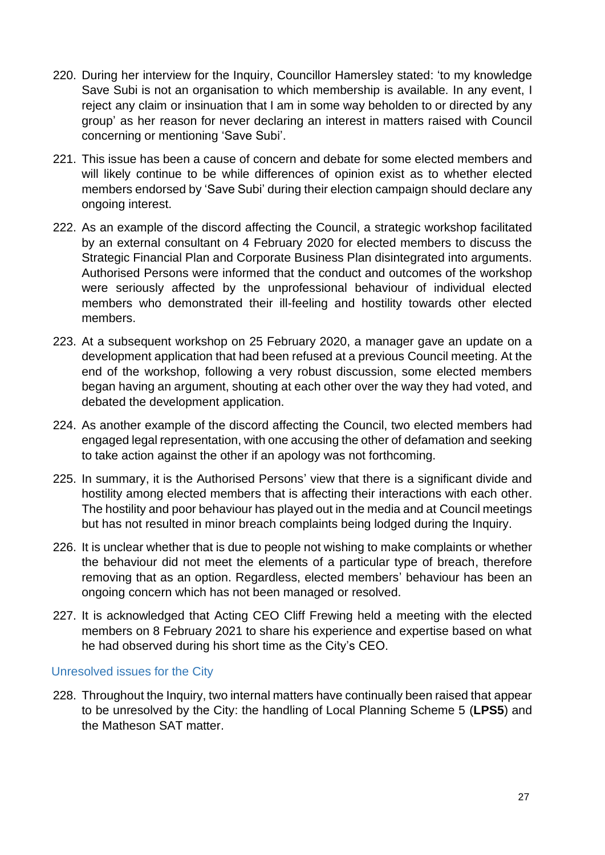- 220. During her interview for the Inquiry, Councillor Hamersley stated: 'to my knowledge Save Subi is not an organisation to which membership is available. In any event, I reject any claim or insinuation that I am in some way beholden to or directed by any group' as her reason for never declaring an interest in matters raised with Council concerning or mentioning 'Save Subi'.
- 221. This issue has been a cause of concern and debate for some elected members and will likely continue to be while differences of opinion exist as to whether elected members endorsed by 'Save Subi' during their election campaign should declare any ongoing interest.
- 222. As an example of the discord affecting the Council, a strategic workshop facilitated by an external consultant on 4 February 2020 for elected members to discuss the Strategic Financial Plan and Corporate Business Plan disintegrated into arguments. Authorised Persons were informed that the conduct and outcomes of the workshop were seriously affected by the unprofessional behaviour of individual elected members who demonstrated their ill-feeling and hostility towards other elected members.
- 223. At a subsequent workshop on 25 February 2020, a manager gave an update on a development application that had been refused at a previous Council meeting. At the end of the workshop, following a very robust discussion, some elected members began having an argument, shouting at each other over the way they had voted, and debated the development application.
- 224. As another example of the discord affecting the Council, two elected members had engaged legal representation, with one accusing the other of defamation and seeking to take action against the other if an apology was not forthcoming.
- 225. In summary, it is the Authorised Persons' view that there is a significant divide and hostility among elected members that is affecting their interactions with each other. The hostility and poor behaviour has played out in the media and at Council meetings but has not resulted in minor breach complaints being lodged during the Inquiry.
- 226. It is unclear whether that is due to people not wishing to make complaints or whether the behaviour did not meet the elements of a particular type of breach, therefore removing that as an option. Regardless, elected members' behaviour has been an ongoing concern which has not been managed or resolved.
- 227. It is acknowledged that Acting CEO Cliff Frewing held a meeting with the elected members on 8 February 2021 to share his experience and expertise based on what he had observed during his short time as the City's CEO.

#### Unresolved issues for the City

228. Throughout the Inquiry, two internal matters have continually been raised that appear to be unresolved by the City: the handling of Local Planning Scheme 5 (**LPS5**) and the Matheson SAT matter.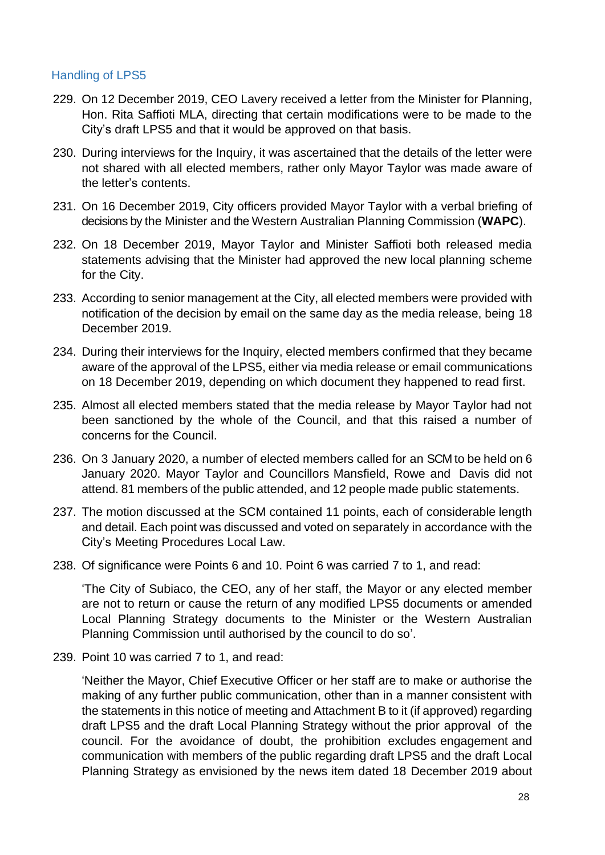#### Handling of LPS5

- 229. On 12 December 2019, CEO Lavery received a letter from the Minister for Planning, Hon. Rita Saffioti MLA, directing that certain modifications were to be made to the City's draft LPS5 and that it would be approved on that basis.
- 230. During interviews for the Inquiry, it was ascertained that the details of the letter were not shared with all elected members, rather only Mayor Taylor was made aware of the letter's contents.
- 231. On 16 December 2019, City officers provided Mayor Taylor with a verbal briefing of decisions by the Minister and the Western Australian Planning Commission (**WAPC**).
- 232. On 18 December 2019, Mayor Taylor and Minister Saffioti both released media statements advising that the Minister had approved the new local planning scheme for the City.
- 233. According to senior management at the City, all elected members were provided with notification of the decision by email on the same day as the media release, being 18 December 2019.
- 234. During their interviews for the Inquiry, elected members confirmed that they became aware of the approval of the LPS5, either via media release or email communications on 18 December 2019, depending on which document they happened to read first.
- 235. Almost all elected members stated that the media release by Mayor Taylor had not been sanctioned by the whole of the Council, and that this raised a number of concerns for the Council.
- 236. On 3 January 2020, a number of elected members called for an SCM to be held on 6 January 2020. Mayor Taylor and Councillors Mansfield, Rowe and Davis did not attend. 81 members of the public attended, and 12 people made public statements.
- 237. The motion discussed at the SCM contained 11 points, each of considerable length and detail. Each point was discussed and voted on separately in accordance with the City's Meeting Procedures Local Law.
- 238. Of significance were Points 6 and 10. Point 6 was carried 7 to 1, and read:

'The City of Subiaco, the CEO, any of her staff, the Mayor or any elected member are not to return or cause the return of any modified LPS5 documents or amended Local Planning Strategy documents to the Minister or the Western Australian Planning Commission until authorised by the council to do so'.

239. Point 10 was carried 7 to 1, and read:

'Neither the Mayor, Chief Executive Officer or her staff are to make or authorise the making of any further public communication, other than in a manner consistent with the statements in this notice of meeting and Attachment B to it (if approved) regarding draft LPS5 and the draft Local Planning Strategy without the prior approval of the council. For the avoidance of doubt, the prohibition excludes engagement and communication with members of the public regarding draft LPS5 and the draft Local Planning Strategy as envisioned by the news item dated 18 December 2019 about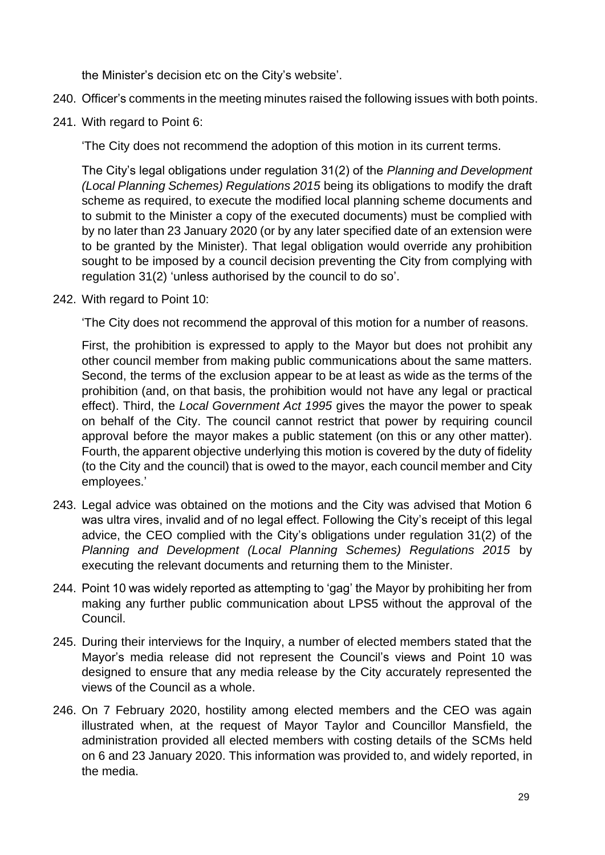the Minister's decision etc on the City's website'.

- 240. Officer's comments in the meeting minutes raised the following issues with both points.
- 241. With regard to Point 6:

'The City does not recommend the adoption of this motion in its current terms.

The City's legal obligations under regulation 31(2) of the *Planning and Development (Local Planning Schemes) Regulations 2015* being its obligations to modify the draft scheme as required, to execute the modified local planning scheme documents and to submit to the Minister a copy of the executed documents) must be complied with by no later than 23 January 2020 (or by any later specified date of an extension were to be granted by the Minister). That legal obligation would override any prohibition sought to be imposed by a council decision preventing the City from complying with regulation 31(2) 'unless authorised by the council to do so'.

242. With regard to Point 10:

'The City does not recommend the approval of this motion for a number of reasons.

First, the prohibition is expressed to apply to the Mayor but does not prohibit any other council member from making public communications about the same matters. Second, the terms of the exclusion appear to be at least as wide as the terms of the prohibition (and, on that basis, the prohibition would not have any legal or practical effect). Third, the *Local Government Act 1995* gives the mayor the power to speak on behalf of the City. The council cannot restrict that power by requiring council approval before the mayor makes a public statement (on this or any other matter). Fourth, the apparent objective underlying this motion is covered by the duty of fidelity (to the City and the council) that is owed to the mayor, each council member and City employees.'

- 243. Legal advice was obtained on the motions and the City was advised that Motion 6 was ultra vires, invalid and of no legal effect. Following the City's receipt of this legal advice, the CEO complied with the City's obligations under regulation 31(2) of the *Planning and Development (Local Planning Schemes) Regulations 2015* by executing the relevant documents and returning them to the Minister.
- 244. Point 10 was widely reported as attempting to 'gag' the Mayor by prohibiting her from making any further public communication about LPS5 without the approval of the Council.
- 245. During their interviews for the Inquiry, a number of elected members stated that the Mayor's media release did not represent the Council's views and Point 10 was designed to ensure that any media release by the City accurately represented the views of the Council as a whole.
- 246. On 7 February 2020, hostility among elected members and the CEO was again illustrated when, at the request of Mayor Taylor and Councillor Mansfield, the administration provided all elected members with costing details of the SCMs held on 6 and 23 January 2020. This information was provided to, and widely reported, in the media.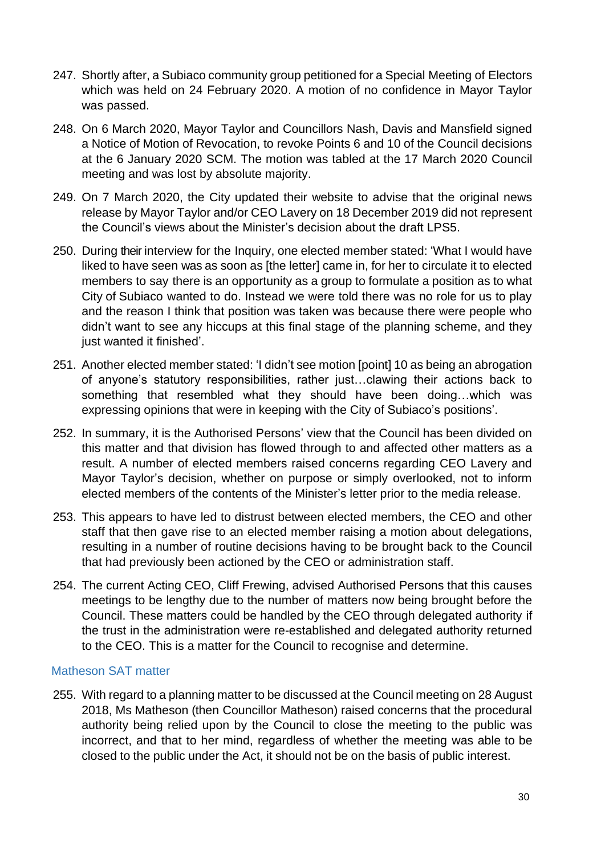- 247. Shortly after, a Subiaco community group petitioned for a Special Meeting of Electors which was held on 24 February 2020. A motion of no confidence in Mayor Taylor was passed.
- 248. On 6 March 2020, Mayor Taylor and Councillors Nash, Davis and Mansfield signed a Notice of Motion of Revocation, to revoke Points 6 and 10 of the Council decisions at the 6 January 2020 SCM. The motion was tabled at the 17 March 2020 Council meeting and was lost by absolute majority.
- 249. On 7 March 2020, the City updated their website to advise that the original news release by Mayor Taylor and/or CEO Lavery on 18 December 2019 did not represent the Council's views about the Minister's decision about the draft LPS5.
- 250. During their interview for the Inquiry, one elected member stated: 'What I would have liked to have seen was as soon as [the letter] came in, for her to circulate it to elected members to say there is an opportunity as a group to formulate a position as to what City of Subiaco wanted to do. Instead we were told there was no role for us to play and the reason I think that position was taken was because there were people who didn't want to see any hiccups at this final stage of the planning scheme, and they just wanted it finished'.
- 251. Another elected member stated: 'I didn't see motion [point] 10 as being an abrogation of anyone's statutory responsibilities, rather just…clawing their actions back to something that resembled what they should have been doing…which was expressing opinions that were in keeping with the City of Subiaco's positions'.
- 252. In summary, it is the Authorised Persons' view that the Council has been divided on this matter and that division has flowed through to and affected other matters as a result. A number of elected members raised concerns regarding CEO Lavery and Mayor Taylor's decision, whether on purpose or simply overlooked, not to inform elected members of the contents of the Minister's letter prior to the media release.
- 253. This appears to have led to distrust between elected members, the CEO and other staff that then gave rise to an elected member raising a motion about delegations, resulting in a number of routine decisions having to be brought back to the Council that had previously been actioned by the CEO or administration staff.
- 254. The current Acting CEO, Cliff Frewing, advised Authorised Persons that this causes meetings to be lengthy due to the number of matters now being brought before the Council. These matters could be handled by the CEO through delegated authority if the trust in the administration were re-established and delegated authority returned to the CEO. This is a matter for the Council to recognise and determine.

#### Matheson SAT matter

255. With regard to a planning matter to be discussed at the Council meeting on 28 August 2018, Ms Matheson (then Councillor Matheson) raised concerns that the procedural authority being relied upon by the Council to close the meeting to the public was incorrect, and that to her mind, regardless of whether the meeting was able to be closed to the public under the Act, it should not be on the basis of public interest.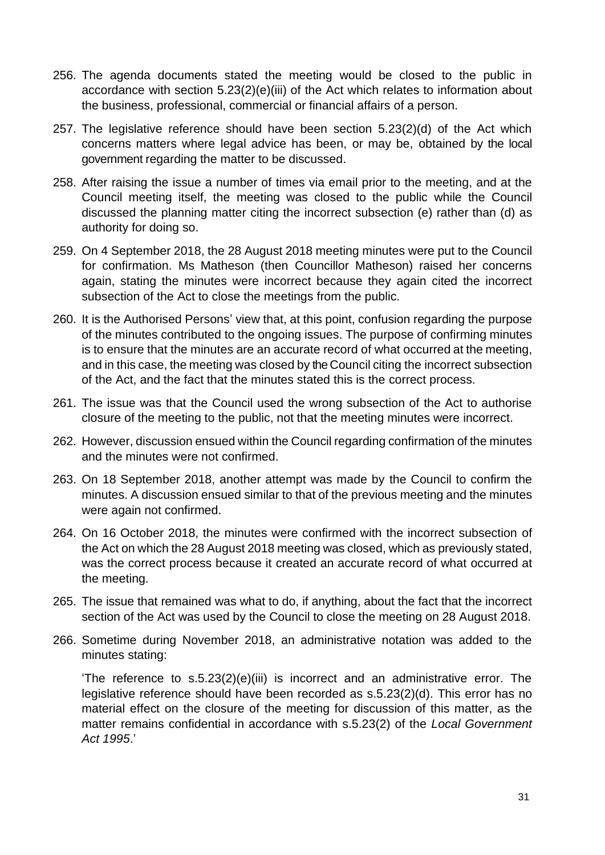- 256. The agenda documents stated the meeting would be closed to the public in accordance with section 5.23(2)(e)(iii) of the Act which relates to information about the business, professional, commercial or financial affairs of a person.
- 257. The legislative reference should have been section 5.23(2)(d) of the Act which concerns matters where legal advice has been, or may be, obtained by the local government regarding the matter to be discussed.
- 258. After raising the issue a number of times via email prior to the meeting, and at the Council meeting itself, the meeting was closed to the public while the Council discussed the planning matter citing the incorrect subsection (e) rather than (d) as authority for doing so.
- 259. On 4 September 2018, the 28 August 2018 meeting minutes were put to the Council for confirmation. Ms Matheson (then Councillor Matheson) raised her concerns again, stating the minutes were incorrect because they again cited the incorrect subsection of the Act to close the meetings from the public.
- 260. It is the Authorised Persons' view that, at this point, confusion regarding the purpose of the minutes contributed to the ongoing issues. The purpose of confirming minutes is to ensure that the minutes are an accurate record of what occurred at the meeting, and in this case, the meeting was closed by the Council citing the incorrect subsection of the Act, and the fact that the minutes stated this is the correct process.
- 261. The issue was that the Council used the wrong subsection of the Act to authorise closure of the meeting to the public, not that the meeting minutes were incorrect.
- 262. However, discussion ensued within the Council regarding confirmation of the minutes and the minutes were not confirmed.
- 263. On 18 September 2018, another attempt was made by the Council to confirm the minutes. A discussion ensued similar to that of the previous meeting and the minutes were again not confirmed.
- 264. On 16 October 2018, the minutes were confirmed with the incorrect subsection of the Act on which the 28 August 2018 meeting was closed, which as previously stated, was the correct process because it created an accurate record of what occurred at the meeting.
- 265. The issue that remained was what to do, if anything, about the fact that the incorrect section of the Act was used by the Council to close the meeting on 28 August 2018.
- 266. Sometime during November 2018, an administrative notation was added to the minutes stating:

'The reference to s.5.23(2)(e)(iii) is incorrect and an administrative error. The legislative reference should have been recorded as s.5.23(2)(d). This error has no material effect on the closure of the meeting for discussion of this matter, as the matter remains confidential in accordance with s.5.23(2) of the *Local Government Act 1995*.'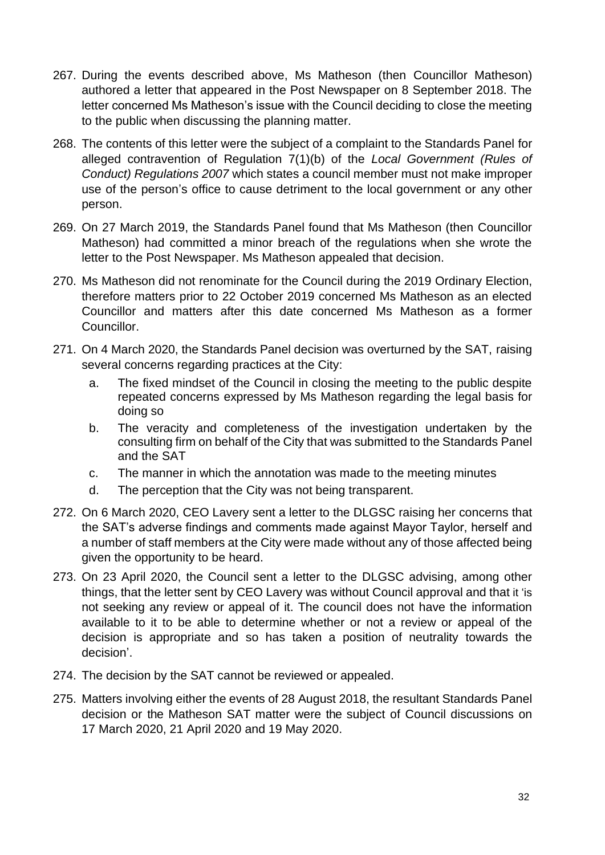- 267. During the events described above, Ms Matheson (then Councillor Matheson) authored a letter that appeared in the Post Newspaper on 8 September 2018. The letter concerned Ms Matheson's issue with the Council deciding to close the meeting to the public when discussing the planning matter.
- 268. The contents of this letter were the subject of a complaint to the Standards Panel for alleged contravention of Regulation 7(1)(b) of the *Local Government (Rules of Conduct) Regulations 2007* which states a council member must not make improper use of the person's office to cause detriment to the local government or any other person.
- 269. On 27 March 2019, the Standards Panel found that Ms Matheson (then Councillor Matheson) had committed a minor breach of the regulations when she wrote the letter to the Post Newspaper. Ms Matheson appealed that decision.
- 270. Ms Matheson did not renominate for the Council during the 2019 Ordinary Election, therefore matters prior to 22 October 2019 concerned Ms Matheson as an elected Councillor and matters after this date concerned Ms Matheson as a former Councillor.
- 271. On 4 March 2020, the Standards Panel decision was overturned by the SAT, raising several concerns regarding practices at the City:
	- a. The fixed mindset of the Council in closing the meeting to the public despite repeated concerns expressed by Ms Matheson regarding the legal basis for doing so
	- b. The veracity and completeness of the investigation undertaken by the consulting firm on behalf of the City that was submitted to the Standards Panel and the SAT
	- c. The manner in which the annotation was made to the meeting minutes
	- d. The perception that the City was not being transparent.
- 272. On 6 March 2020, CEO Lavery sent a letter to the DLGSC raising her concerns that the SAT's adverse findings and comments made against Mayor Taylor, herself and a number of staff members at the City were made without any of those affected being given the opportunity to be heard.
- 273. On 23 April 2020, the Council sent a letter to the DLGSC advising, among other things, that the letter sent by CEO Lavery was without Council approval and that it 'is not seeking any review or appeal of it. The council does not have the information available to it to be able to determine whether or not a review or appeal of the decision is appropriate and so has taken a position of neutrality towards the decision'.
- 274. The decision by the SAT cannot be reviewed or appealed.
- 275. Matters involving either the events of 28 August 2018, the resultant Standards Panel decision or the Matheson SAT matter were the subject of Council discussions on 17 March 2020, 21 April 2020 and 19 May 2020.